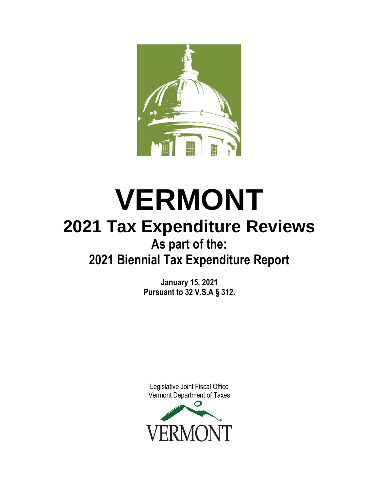

# **VERMONT 2021 Tax Expenditure Reviews As part of the: 2021 Biennial Tax Expenditure Report**

**January 15, 2021 Pursuant to 32 V.S.A § 312.**

Legislative Joint Fiscal Office [Vermont Department of Taxes](http://www.google.com/url?sa=i&rct=j&q=&esrc=s&source=images&cd=&cad=rja&uact=8&ved=0ahUKEwiwvJO-jqbPAhVGFj4KHYFgCCIQjRwIBw&url=http://agriculture.vermont.gov/&psig=AFQjCNF6h12jEh5AT-kP0RiNG1qgH4-GLQ&ust=1474741527222097) 

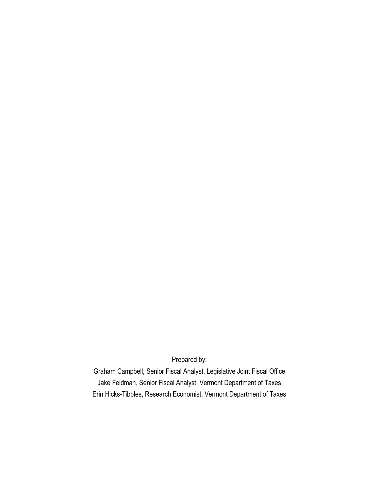Prepared by:

Graham Campbell, Senior Fiscal Analyst, Legislative Joint Fiscal Office Jake Feldman, Senior Fiscal Analyst, Vermont Department of Taxes Erin Hicks-Tibbles, Research Economist, Vermont Department of Taxes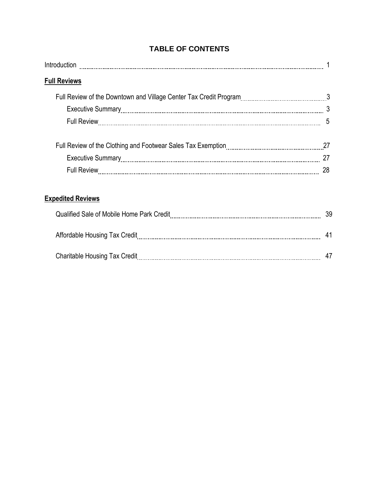| <b>Full Reviews</b>      |    |
|--------------------------|----|
|                          |    |
|                          |    |
|                          | 5  |
|                          |    |
|                          |    |
|                          | 28 |
| <b>Expedited Reviews</b> |    |
|                          | 39 |
|                          | 41 |

Charitable Housing Tax Credit 47

## **TABLE OF CONTENTS**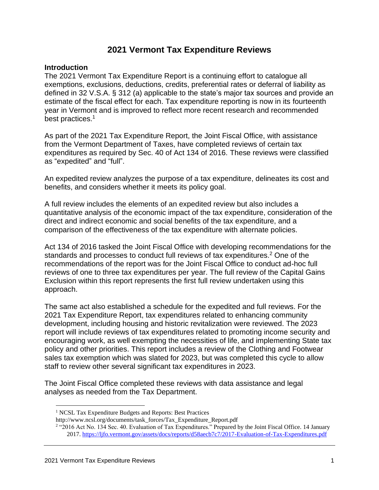## **2021 Vermont Tax Expenditure Reviews**

### **Introduction**

The 2021 Vermont Tax Expenditure Report is a continuing effort to catalogue all exemptions, exclusions, deductions, credits, preferential rates or deferral of liability as defined in 32 V.S.A. § 312 (a) applicable to the state's major tax sources and provide an estimate of the fiscal effect for each. Tax expenditure reporting is now in its fourteenth year in Vermont and is improved to reflect more recent research and recommended best practices.<sup>1</sup>

As part of the 2021 Tax Expenditure Report, the Joint Fiscal Office, with assistance from the Vermont Department of Taxes, have completed reviews of certain tax expenditures as required by Sec. 40 of Act 134 of 2016. These reviews were classified as "expedited" and "full".

An expedited review analyzes the purpose of a tax expenditure, delineates its cost and benefits, and considers whether it meets its policy goal.

A full review includes the elements of an expedited review but also includes a quantitative analysis of the economic impact of the tax expenditure, consideration of the direct and indirect economic and social benefits of the tax expenditure, and a comparison of the effectiveness of the tax expenditure with alternate policies.

Act 134 of 2016 tasked the Joint Fiscal Office with developing recommendations for the standards and processes to conduct full reviews of tax expenditures.<sup>2</sup> One of the recommendations of the report was for the Joint Fiscal Office to conduct ad-hoc full reviews of one to three tax expenditures per year. The full review of the Capital Gains Exclusion within this report represents the first full review undertaken using this approach.

The same act also established a schedule for the expedited and full reviews. For the 2021 Tax Expenditure Report, tax expenditures related to enhancing community development, including housing and historic revitalization were reviewed. The 2023 report will include reviews of tax expenditures related to promoting income security and encouraging work, as well exempting the necessities of life, and implementing State tax policy and other priorities. This report includes a review of the Clothing and Footwear sales tax exemption which was slated for 2023, but was completed this cycle to allow staff to review other several significant tax expenditures in 2023.

The Joint Fiscal Office completed these reviews with data assistance and legal analyses as needed from the Tax Department.

<sup>&</sup>lt;sup>1</sup> NCSL Tax Expenditure Budgets and Reports: Best Practices

http://www.ncsl.org/documents/task\_forces/Tax\_Expenditure\_Report.pdf

<sup>&</sup>lt;sup>2</sup> "2016 Act No. 134 Sec. 40. Evaluation of Tax Expenditures." Prepared by the Joint Fiscal Office. 14 January 2017.<https://ljfo.vermont.gov/assets/docs/reports/d58aecb7c7/2017-Evaluation-of-Tax-Expenditures.pdf>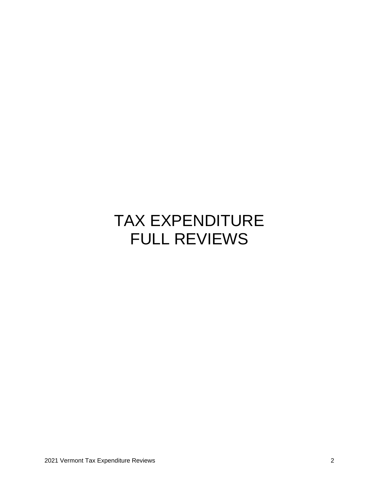## TAX EXPENDITURE FULL REVIEWS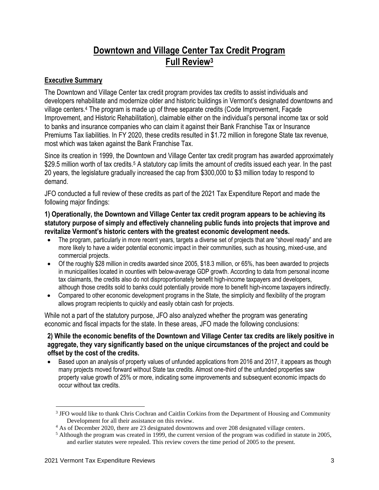## **Downtown and Village Center Tax Credit Program Full Review<sup>3</sup>**

## **Executive Summary**

The Downtown and Village Center tax credit program provides tax credits to assist individuals and developers rehabilitate and modernize older and historic buildings in Vermont's designated downtowns and village centers.<sup>4</sup> The program is made up of three separate credits (Code Improvement, Façade Improvement, and Historic Rehabilitation), claimable either on the individual's personal income tax or sold to banks and insurance companies who can claim it against their Bank Franchise Tax or Insurance Premiums Tax liabilities. In FY 2020, these credits resulted in \$1.72 million in foregone State tax revenue, most which was taken against the Bank Franchise Tax.

Since its creation in 1999, the Downtown and Village Center tax credit program has awarded approximately \$29.5 million worth of tax credits.<sup>5</sup> A statutory cap limits the amount of credits issued each year. In the past 20 years, the legislature gradually increased the cap from \$300,000 to \$3 million today to respond to demand.

JFO conducted a full review of these credits as part of the 2021 Tax Expenditure Report and made the following major findings:

**1) Operationally, the Downtown and Village Center tax credit program appears to be achieving its statutory purpose of simply and effectively channeling public funds into projects that improve and revitalize Vermont's historic centers with the greatest economic development needs.**

- The program, particularly in more recent years, targets a diverse set of projects that are "shovel ready" and are more likely to have a wider potential economic impact in their communities, such as housing, mixed-use, and commercial projects.
- Of the roughly \$28 million in credits awarded since 2005, \$18.3 million, or 65%, has been awarded to projects in municipalities located in counties with below-average GDP growth. According to data from personal income tax claimants, the credits also do not disproportionately benefit high-income taxpayers and developers, although those credits sold to banks could potentially provide more to benefit high-income taxpayers indirectly.
- Compared to other economic development programs in the State, the simplicity and flexibility of the program allows program recipients to quickly and easily obtain cash for projects.

While not a part of the statutory purpose, JFO also analyzed whether the program was generating economic and fiscal impacts for the state. In these areas, JFO made the following conclusions:

## **2) While the economic benefits of the Downtown and Village Center tax credits are likely positive in aggregate, they vary significantly based on the unique circumstances of the project and could be offset by the cost of the credits.**

• Based upon an analysis of property values of unfunded applications from 2016 and 2017, it appears as though many projects moved forward without State tax credits. Almost one-third of the unfunded properties saw property value growth of 25% or more, indicating some improvements and subsequent economic impacts do occur without tax credits.

<sup>&</sup>lt;sup>3</sup> JFO would like to thank Chris Cochran and Caitlin Corkins from the Department of Housing and Community Development for all their assistance on this review.

<sup>4</sup> As of December 2020, there are 23 designated downtowns and over 208 designated village centers.

 $<sup>5</sup>$  Although the program was created in 1999, the current version of the program was codified in statute in 2005,</sup> and earlier statutes were repealed. This review covers the time period of 2005 to the present.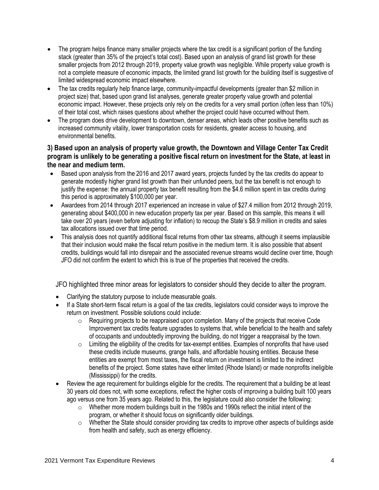- The program helps finance many smaller projects where the tax credit is a significant portion of the funding stack (greater than 35% of the project's total cost). Based upon an analysis of grand list growth for these smaller projects from 2012 through 2019, property value growth was negligible. While property value growth is not a complete measure of economic impacts, the limited grand list growth for the building itself is suggestive of limited widespread economic impact elsewhere.
- The tax credits regularly help finance large, community-impactful developments (greater than \$2 million in project size) that, based upon grand list analyses, generate greater property value growth and potential economic impact. However, these projects only rely on the credits for a very small portion (often less than 10%) of their total cost, which raises questions about whether the project could have occurred without them.
- The program does drive development to downtown, denser areas, which leads other positive benefits such as increased community vitality, lower transportation costs for residents, greater access to housing, and environmental benefits.

## **3) Based upon an analysis of property value growth, the Downtown and Village Center Tax Credit program is unlikely to be generating a positive fiscal return on investment for the State, at least in the near and medium term.**

- Based upon analysis from the 2016 and 2017 award years, projects funded by the tax credits do appear to generate modestly higher grand list growth than their unfunded peers, but the tax benefit is not enough to justify the expense: the annual property tax benefit resulting from the \$4.6 million spent in tax credits during this period is approximately \$100,000 per year.
- Awardees from 2014 through 2017 experienced an increase in value of \$27.4 million from 2012 through 2019, generating about \$400,000 in new education property tax per year. Based on this sample, this means it will take over 20 years (even before adjusting for inflation) to recoup the State's \$8.9 million in credits and sales tax allocations issued over that time period.
- This analysis does not quantify additional fiscal returns from other tax streams, although it seems implausible that their inclusion would make the fiscal return positive in the medium term. It is also possible that absent credits, buildings would fall into disrepair and the associated revenue streams would decline over time, though JFO did not confirm the extent to which this is true of the properties that received the credits.

JFO highlighted three minor areas for legislators to consider should they decide to alter the program.

- Clarifying the statutory purpose to include measurable goals.
- If a State short-term fiscal return is a goal of the tax credits, legislators could consider ways to improve the return on investment. Possible solutions could include:
	- $\circ$  Requiring projects to be reappraised upon completion. Many of the projects that receive Code Improvement tax credits feature upgrades to systems that, while beneficial to the health and safety of occupants and undoubtedly improving the building, do not trigger a reappraisal by the town.
	- $\circ$  Limiting the eligibility of the credits for tax-exempt entities. Examples of nonprofits that have used these credits include museums, grange halls, and affordable housing entities. Because these entities are exempt from most taxes, the fiscal return on investment is limited to the indirect benefits of the project. Some states have either limited (Rhode Island) or made nonprofits ineligible (Mississippi) for the credits.
- Review the age requirement for buildings eligible for the credits. The requirement that a building be at least 30 years old does not, with some exceptions, reflect the higher costs of improving a building built 100 years ago versus one from 35 years ago. Related to this, the legislature could also consider the following:
	- $\circ$  Whether more modern buildings built in the 1980s and 1990s reflect the initial intent of the program, or whether it should focus on significantly older buildings.
	- $\circ$  Whether the State should consider providing tax credits to improve other aspects of buildings aside from health and safety, such as energy efficiency.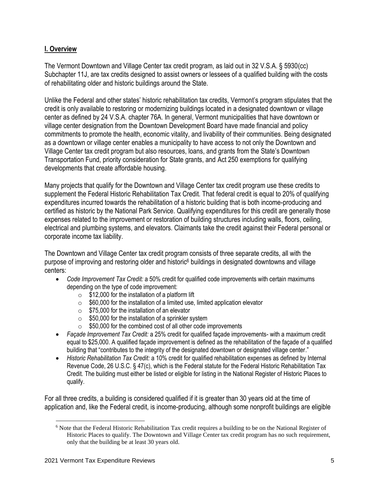## **I. Overview**

The Vermont Downtown and Village Center tax credit program, as laid out in 32 V.S.A. § 5930(cc) Subchapter 11J, are tax credits designed to assist owners or lessees of a qualified building with the costs of rehabilitating older and historic buildings around the State.

Unlike the Federal and other states' historic rehabilitation tax credits, Vermont's program stipulates that the credit is only available to restoring or modernizing buildings located in a designated downtown or village center as defined by 24 V.S.A. chapter 76A. In general, Vermont municipalities that have downtown or village center designation from the Downtown Development Board have made financial and policy commitments to promote the health, economic vitality, and livability of their communities. Being designated as a downtown or village center enables a municipality to have access to not only the Downtown and Village Center tax credit program but also resources, loans, and grants from the State's Downtown Transportation Fund, priority consideration for State grants, and Act 250 exemptions for qualifying developments that create affordable housing.

Many projects that qualify for the Downtown and Village Center tax credit program use these credits to supplement the Federal Historic Rehabilitation Tax Credit. That federal credit is equal to 20% of qualifying expenditures incurred towards the rehabilitation of a historic building that is both income-producing and certified as historic by the National Park Service. Qualifying expenditures for this credit are generally those expenses related to the improvement or restoration of building structures including walls, floors, ceiling, electrical and plumbing systems, and elevators. Claimants take the credit against their Federal personal or corporate income tax liability.

The Downtown and Village Center tax credit program consists of three separate credits, all with the purpose of improving and restoring older and historic<sup>6</sup> buildings in designated downtowns and village centers:

- *Code Improvement Tax Credit:* a 50% credit for qualified code improvements with certain maximums depending on the type of code improvement:
	- $\circ$  \$12,000 for the installation of a platform lift
	- $\circ$  \$60,000 for the installation of a limited use, limited application elevator
	- $\circ$  \$75,000 for the installation of an elevator
	- $\circ$  \$50,000 for the installation of a sprinkler system
	- $\circ$  \$50,000 for the combined cost of all other code improvements
- *Façade Improvement Tax Credit:* a 25% credit for qualified façade improvements- with a maximum credit equal to \$25,000. A qualified façade improvement is defined as the rehabilitation of the façade of a qualified building that "contributes to the integrity of the designated downtown or designated village center."
- *Historic Rehabilitation Tax Credit:* a 10% credit for qualified rehabilitation expenses as defined by Internal Revenue Code, 26 U.S.C. § 47(c), which is the Federal statute for the Federal Historic Rehabilitation Tax Credit. The building must either be listed or eligible for listing in the National Register of Historic Places to qualify.

For all three credits, a building is considered qualified if it is greater than 30 years old at the time of application and, like the Federal credit, is income-producing, although some nonprofit buildings are eligible

<sup>6</sup> Note that the Federal Historic Rehabilitation Tax credit requires a building to be on the National Register of Historic Places to qualify. The Downtown and Village Center tax credit program has no such requirement, only that the building be at least 30 years old.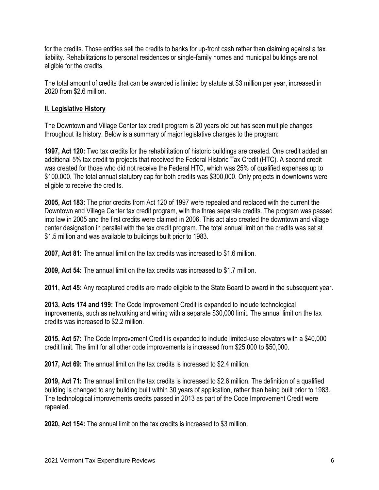for the credits. Those entities sell the credits to banks for up-front cash rather than claiming against a tax liability. Rehabilitations to personal residences or single-family homes and municipal buildings are not eligible for the credits.

The total amount of credits that can be awarded is limited by statute at \$3 million per year, increased in 2020 from \$2.6 million.

## **II. Legislative History**

The Downtown and Village Center tax credit program is 20 years old but has seen multiple changes throughout its history. Below is a summary of major legislative changes to the program:

**1997, Act 120:** Two tax credits for the rehabilitation of historic buildings are created. One credit added an additional 5% tax credit to projects that received the Federal Historic Tax Credit (HTC). A second credit was created for those who did not receive the Federal HTC, which was 25% of qualified expenses up to \$100,000. The total annual statutory cap for both credits was \$300,000. Only projects in downtowns were eligible to receive the credits.

**2005, Act 183:** The prior credits from Act 120 of 1997 were repealed and replaced with the current the Downtown and Village Center tax credit program, with the three separate credits. The program was passed into law in 2005 and the first credits were claimed in 2006. This act also created the downtown and village center designation in parallel with the tax credit program. The total annual limit on the credits was set at \$1.5 million and was available to buildings built prior to 1983.

**2007, Act 81:** The annual limit on the tax credits was increased to \$1.6 million.

**2009, Act 54:** The annual limit on the tax credits was increased to \$1.7 million.

**2011, Act 45:** Any recaptured credits are made eligible to the State Board to award in the subsequent year.

**2013, Acts 174 and 199:** The Code Improvement Credit is expanded to include technological improvements, such as networking and wiring with a separate \$30,000 limit. The annual limit on the tax credits was increased to \$2.2 million.

**2015, Act 57:** The Code Improvement Credit is expanded to include limited-use elevators with a \$40,000 credit limit. The limit for all other code improvements is increased from \$25,000 to \$50,000.

**2017, Act 69:** The annual limit on the tax credits is increased to \$2.4 million.

**2019, Act 71:** The annual limit on the tax credits is increased to \$2.6 million. The definition of a qualified building is changed to any building built within 30 years of application, rather than being built prior to 1983. The technological improvements credits passed in 2013 as part of the Code Improvement Credit were repealed.

**2020, Act 154:** The annual limit on the tax credits is increased to \$3 million.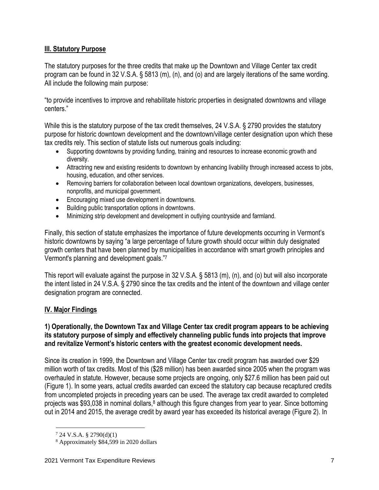## **III. Statutory Purpose**

The statutory purposes for the three credits that make up the Downtown and Village Center tax credit program can be found in 32 V.S.A. § 5813 (m), (n), and (o) and are largely iterations of the same wording. All include the following main purpose:

"to provide incentives to improve and rehabilitate historic properties in designated downtowns and village centers."

While this is the statutory purpose of the tax credit themselves, 24 V.S.A. § 2790 provides the statutory purpose for historic downtown development and the downtown/village center designation upon which these tax credits rely. This section of statute lists out numerous goals including:

- Supporting downtowns by providing funding, training and resources to increase economic growth and diversity.
- Attractring new and existing residents to downtown by enhancing livability through increased access to jobs, housing, education, and other services.
- Removing barriers for collaboration between local downtown organizations, developers, businesses, nonprofits, and municipal government.
- Encouraging mixed use development in downtowns.
- Building public transportation options in downtowns.
- Minimizing strip development and development in outlying countryside and farmland.

Finally, this section of statute emphasizes the importance of future developments occurring in Vermont's historic downtowns by saying "a large percentage of future growth should occur within duly designated growth centers that have been planned by municipalities in accordance with smart growth principles and Vermont's planning and development goals."<sup>7</sup>

This report will evaluate against the purpose in 32 V.S.A. § 5813 (m), (n), and (o) but will also incorporate the intent listed in 24 V.S.A. § 2790 since the tax credits and the intent of the downtown and village center designation program are connected.

## **IV. Major Findings**

## **1) Operationally, the Downtown Tax and Village Center tax credit program appears to be achieving its statutory purpose of simply and effectively channeling public funds into projects that improve and revitalize Vermont's historic centers with the greatest economic development needs.**

Since its creation in 1999, the Downtown and Village Center tax credit program has awarded over \$29 million worth of tax credits. Most of this (\$28 million) has been awarded since 2005 when the program was overhauled in statute. However, because some projects are ongoing, only \$27.6 million has been paid out (Figure 1). In some years, actual credits awarded can exceed the statutory cap because recaptured credits from uncompleted projects in preceding years can be used. The average tax credit awarded to completed projects was \$93,038 in nominal dollars, $8$  although this figure changes from year to year. Since bottoming out in 2014 and 2015, the average credit by award year has exceeded its historical average (Figure 2). In

 $7$  24 V.S.A. § 2790(d)(1)

<sup>8</sup> Approximately \$84,599 in 2020 dollars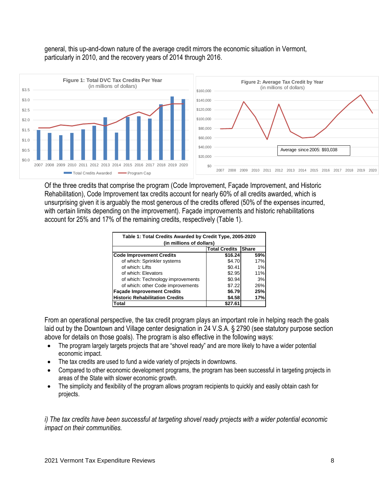### general, this up-and-down nature of the average credit mirrors the economic situation in Vermont, particularly in 2010, and the recovery years of 2014 through 2016.



Of the three credits that comprise the program (Code Improvement, Façade Improvement, and Historic Rehabilitation), Code Improvement tax credits account for nearly 60% of all credits awarded, which is unsurprising given it is arguably the most generous of the credits offered (50% of the expenses incurred, with certain limits depending on the improvement). Façade improvements and historic rehabilitations account for 25% and 17% of the remaining credits, respectively (Table 1).

| Table 1: Total Credits Awarded by Credit Type, 2005-2020<br>(in millions of dollars) |                      |              |  |  |  |  |
|--------------------------------------------------------------------------------------|----------------------|--------------|--|--|--|--|
|                                                                                      | <b>Total Credits</b> | <b>Share</b> |  |  |  |  |
| <b>Code Improvement Credits</b>                                                      | \$16.24              | 59%          |  |  |  |  |
| of which: Sprinkler systems                                                          | \$4.70               | 17%          |  |  |  |  |
| of which: I ifts                                                                     | \$0.41               | 1%           |  |  |  |  |
| of which: Elevators                                                                  | \$2.95               | 11%          |  |  |  |  |
| of which: Technology improvements                                                    | \$0.94               | 3%           |  |  |  |  |
| of which: other Code improvements                                                    | \$7.22               | 26%          |  |  |  |  |
| <b>Façade Improvement Credits</b>                                                    | \$6.79               | 25%          |  |  |  |  |
| <b>Historic Rehabilitation Credits</b><br>\$4.58<br>17%                              |                      |              |  |  |  |  |
| lTotal                                                                               | \$27.6′              |              |  |  |  |  |

From an operational perspective, the tax credit program plays an important role in helping reach the goals laid out by the Downtown and Village center designation in 24 V.S.A. § 2790 (see statutory purpose section above for details on those goals). The program is also effective in the following ways:

- The program largely targets projects that are "shovel ready" and are more likely to have a wider potential economic impact.
- The tax credits are used to fund a wide variety of projects in downtowns.
- Compared to other economic development programs, the program has been successful in targeting projects in areas of the State with slower economic growth.
- The simplicity and flexibility of the program allows program recipients to quickly and easily obtain cash for projects.

*i) The tax credits have been successful at targeting shovel ready projects with a wider potential economic impact on their communities.*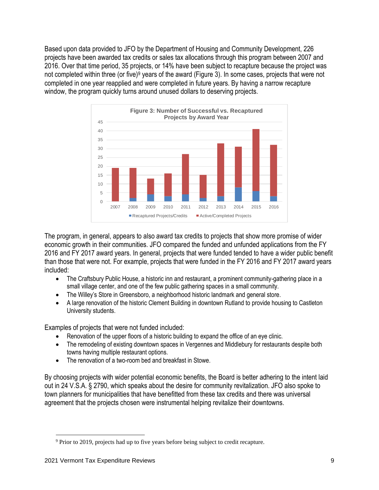Based upon data provided to JFO by the Department of Housing and Community Development, 226 projects have been awarded tax credits or sales tax allocations through this program between 2007 and 2016. Over that time period, 35 projects, or 14% have been subject to recapture because the project was not completed within three (or five)<sup>9</sup> years of the award (Figure 3). In some cases, projects that were not completed in one year reapplied and were completed in future years. By having a narrow recapture window, the program quickly turns around unused dollars to deserving projects.



The program, in general, appears to also award tax credits to projects that show more promise of wider economic growth in their communities. JFO compared the funded and unfunded applications from the FY 2016 and FY 2017 award years. In general, projects that were funded tended to have a wider public benefit than those that were not. For example, projects that were funded in the FY 2016 and FY 2017 award years included:

- The Craftsbury Public House, a historic inn and restaurant, a prominent community-gathering place in a small village center, and one of the few public gathering spaces in a small community.
- The Willey's Store in Greensboro, a neighborhood historic landmark and general store.
- A large renovation of the historic Clement Building in downtown Rutland to provide housing to Castleton University students.

Examples of projects that were not funded included:

- Renovation of the upper floors of a historic building to expand the office of an eye clinic.
- The remodeling of existing downtown spaces in Vergennes and Middlebury for restaurants despite both towns having multiple restaurant options.
- The renovation of a two-room bed and breakfast in Stowe.

By choosing projects with wider potential economic benefits, the Board is better adhering to the intent laid out in 24 V.S.A. § 2790, which speaks about the desire for community revitalization. JFO also spoke to town planners for municipalities that have benefitted from these tax credits and there was universal agreement that the projects chosen were instrumental helping revitalize their downtowns.

<sup>&</sup>lt;sup>9</sup> Prior to 2019, projects had up to five years before being subject to credit recapture.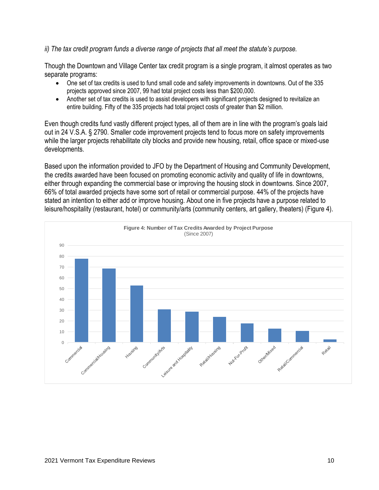### *ii) The tax credit program funds a diverse range of projects that all meet the statute's purpose.*

Though the Downtown and Village Center tax credit program is a single program, it almost operates as two separate programs:

- One set of tax credits is used to fund small code and safety improvements in downtowns. Out of the 335 projects approved since 2007, 99 had total project costs less than \$200,000.
- Another set of tax credits is used to assist developers with significant projects designed to revitalize an entire building. Fifty of the 335 projects had total project costs of greater than \$2 million.

Even though credits fund vastly different project types, all of them are in line with the program's goals laid out in 24 V.S.A. § 2790. Smaller code improvement projects tend to focus more on safety improvements while the larger projects rehabilitate city blocks and provide new housing, retail, office space or mixed-use developments.

Based upon the information provided to JFO by the Department of Housing and Community Development, the credits awarded have been focused on promoting economic activity and quality of life in downtowns, either through expanding the commercial base or improving the housing stock in downtowns. Since 2007, 66% of total awarded projects have some sort of retail or commercial purpose. 44% of the projects have stated an intention to either add or improve housing. About one in five projects have a purpose related to leisure/hospitality (restaurant, hotel) or community/arts (community centers, art gallery, theaters) (Figure 4).

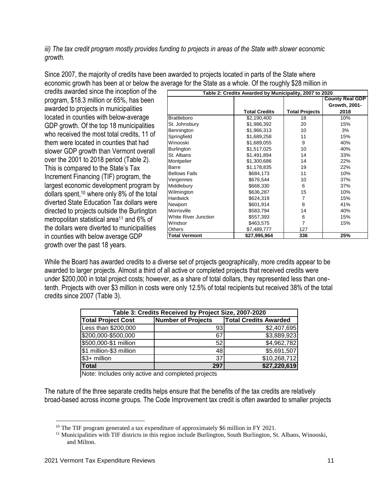*iii) The tax credit program mostly provides funding to projects in areas of the State with slower economic growth.*

Since 2007, the majority of credits have been awarded to projects located in parts of the State where economic growth has been at or below the average for the State as a whole. Of the roughly \$28 million in

credits awarded since the inception of the program, \$18.3 million or 65%, has been awarded to projects in municipalities located in counties with below-average GDP growth. Of the top 18 municipalities who received the most total credits, 11 of them were located in counties that had slower GDP growth than Vermont overall over the 2001 to 2018 period (Table 2). This is compared to the State's Tax Increment Financing (TIF) program, the largest economic development program by dollars spent,<sup>10</sup> where only 8% of the total diverted State Education Tax dollars were directed to projects outside the Burlington metropolitan statistical area<sup>11</sup> and 6% of the dollars were diverted to municipalities in counties with below average GDP growth over the past 18 years.

| Table 2: Credits Awarded by Municipality, 2007 to 2020 |                      |                       |                        |  |  |
|--------------------------------------------------------|----------------------|-----------------------|------------------------|--|--|
|                                                        |                      |                       | <b>County Real GDP</b> |  |  |
|                                                        |                      |                       | Growth, 2001-          |  |  |
|                                                        | <b>Total Credits</b> | <b>Total Projects</b> | 2018                   |  |  |
| <b>Brattleboro</b>                                     | \$2,190,400          | 18                    | 10%                    |  |  |
| St. Johnsbury                                          | \$1,986,392          | 20                    | 15%                    |  |  |
| Bennington                                             | \$1,966,313          | 10                    | 3%                     |  |  |
| Springfield                                            | \$1,689,258          | 11                    | 15%                    |  |  |
| Winooski                                               | \$1,689,055          | 9                     | 40%                    |  |  |
| Burlington                                             | \$1,517,025          | 10                    | 40%                    |  |  |
| St. Albans                                             | \$1,491,894          | 14                    | 33%                    |  |  |
| Montpelier                                             | \$1,300,686          | 14                    | 22%                    |  |  |
| Barre                                                  | \$1,178,835          | 19                    | 22%                    |  |  |
| <b>Bellows Falls</b>                                   | \$684,173            | 11                    | 10%                    |  |  |
| Vergennes                                              | \$676,544            | 10                    | 37%                    |  |  |
| Middlebury                                             | \$668,330            | 6                     | 37%                    |  |  |
| Wilmington                                             | \$636,287            | 15                    | 10%                    |  |  |
| <b>Hardwick</b>                                        | \$624,319            | 7                     | 15%                    |  |  |
| Newport                                                | \$601,914            | 8                     | 41%                    |  |  |
| Morrisville                                            | \$583,794            | 14                    | 40%                    |  |  |
| White River Junction                                   | \$557,393            | 6                     | 15%                    |  |  |
| Windsor                                                | \$463,575            | 7                     | 15%                    |  |  |
| <b>Others</b>                                          | \$7,489,777          | 127                   |                        |  |  |
| <b>Total Vermont</b>                                   | \$27,995,964         | 336                   | 25%                    |  |  |

While the Board has awarded credits to a diverse set of projects geographically, more credits appear to be awarded to larger projects. Almost a third of all active or completed projects that received credits were under \$200,000 in total project costs; however, as a share of total dollars, they represented less than onetenth. Projects with over \$3 million in costs were only 12.5% of total recipients but received 38% of the total credits since 2007 (Table 3).

| Table 3: Credits Received by Project Size, 2007-2020                                   |     |              |  |  |  |  |
|----------------------------------------------------------------------------------------|-----|--------------|--|--|--|--|
| <b>Total Project Cost</b><br><b>Total Credits Awarded</b><br><b>Number of Projects</b> |     |              |  |  |  |  |
| Less than \$200,000                                                                    | 931 | \$2,407,695  |  |  |  |  |
| \$200,000-\$500,000                                                                    | 67  | \$3,889,923  |  |  |  |  |
| \$500,000-\$1 million                                                                  | 52  | \$4,962,782  |  |  |  |  |
| \$1 million-\$3 million                                                                | 48  | \$5,691,507  |  |  |  |  |
| \$3+ million                                                                           | 37  | \$10,268,712 |  |  |  |  |
| <b>Total</b>                                                                           | 297 | \$27,220,619 |  |  |  |  |

Note: Includes only active and completed projects

The nature of the three separate credits helps ensure that the benefits of the tax credits are relatively broad-based across income groups. The Code Improvement tax credit is often awarded to smaller projects

<sup>&</sup>lt;sup>10</sup> The TIF program generated a tax expenditure of approximately \$6 million in FY 2021.

 $11$  Municipalities with TIF districts in this region include Burlington, South Burlington, St. Albans, Winooski, and Milton.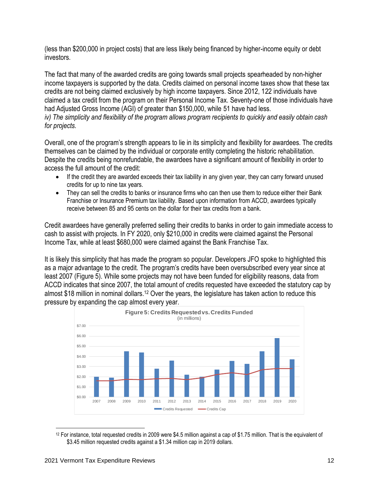(less than \$200,000 in project costs) that are less likely being financed by higher-income equity or debt investors.

The fact that many of the awarded credits are going towards small projects spearheaded by non-higher income taxpayers is supported by the data. Credits claimed on personal income taxes show that these tax credits are not being claimed exclusively by high income taxpayers. Since 2012, 122 individuals have claimed a tax credit from the program on their Personal Income Tax. Seventy-one of those individuals have had Adjusted Gross Income (AGI) of greater than \$150,000, while 51 have had less. *iv) The simplicity and flexibility of the program allows program recipients to quickly and easily obtain cash for projects.*

Overall, one of the program's strength appears to lie in its simplicity and flexibility for awardees. The credits themselves can be claimed by the individual or corporate entity completing the historic rehabilitation. Despite the credits being nonrefundable, the awardees have a significant amount of flexibility in order to access the full amount of the credit:

- If the credit they are awarded exceeds their tax liability in any given year, they can carry forward unused credits for up to nine tax years.
- They can sell the credits to banks or insurance firms who can then use them to reduce either their Bank Franchise or Insurance Premium tax liability. Based upon information from ACCD, awardees typically receive between 85 and 95 cents on the dollar for their tax credits from a bank.

Credit awardees have generally preferred selling their credits to banks in order to gain immediate access to cash to assist with projects. In FY 2020, only \$210,000 in credits were claimed against the Personal Income Tax, while at least \$680,000 were claimed against the Bank Franchise Tax.

It is likely this simplicity that has made the program so popular. Developers JFO spoke to highlighted this as a major advantage to the credit. The program's credits have been oversubscribed every year since at least 2007 (Figure 5). While some projects may not have been funded for eligibility reasons, data from ACCD indicates that since 2007, the total amount of credits requested have exceeded the statutory cap by almost \$18 million in nominal dollars.<sup>12</sup> Over the years, the legislature has taken action to reduce this pressure by expanding the cap almost every year.



<sup>12</sup> For instance, total requested credits in 2009 were \$4.5 million against a cap of \$1.75 million. That is the equivalent of \$3.45 million requested credits against a \$1.34 million cap in 2019 dollars.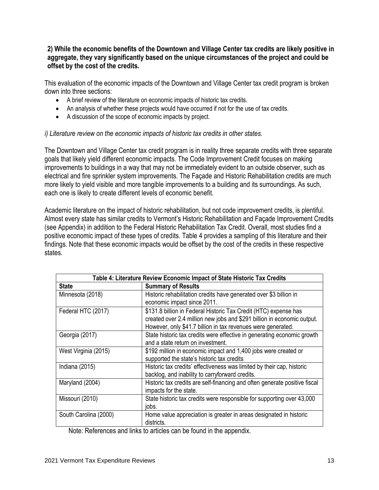## **2) While the economic benefits of the Downtown and Village Center tax credits are likely positive in aggregate, they vary significantly based on the unique circumstances of the project and could be offset by the cost of the credits.**

This evaluation of the economic impacts of the Downtown and Village Center tax credit program is broken down into three sections:

- A brief review of the literature on economic impacts of historic tax credits.
- An analysis of whether these projects would have occurred if not for the use of tax credits.
- A discussion of the scope of economic impacts by project.

#### *i) Literature review on the economic impacts of historic tax credits in other states.*

The Downtown and Village Center tax credit program is in reality three separate credits with three separate goals that likely yield different economic impacts. The Code Improvement Credit focuses on making improvements to buildings in a way that may not be immediately evident to an outside observer, such as electrical and fire sprinkler system improvements. The Façade and Historic Rehabilitation credits are much more likely to yield visible and more tangible improvements to a building and its surroundings. As such, each one is likely to create different levels of economic benefit.

Academic literature on the impact of historic rehabilitation, but not code improvement credits, is plentiful. Almost every state has similar credits to Vermont's Historic Rehabilitation and Façade Improvement Credits (see Appendix) in addition to the Federal Historic Rehabilitation Tax Credit. Overall, most studies find a positive economic impact of these types of credits. Table 4 provides a sampling of this literature and their findings. Note that these economic impacts would be offset by the cost of the credits in these respective states.

|                       | Table 4: Literature Review Economic Impact of State Historic Tax Credits                                                                                                                                    |  |  |  |  |
|-----------------------|-------------------------------------------------------------------------------------------------------------------------------------------------------------------------------------------------------------|--|--|--|--|
| <b>State</b>          | <b>Summary of Results</b>                                                                                                                                                                                   |  |  |  |  |
| Minnesota (2018)      | Historic rehabilitation credits have generated over \$3 billion in<br>economic impact since 2011.                                                                                                           |  |  |  |  |
| Federal HTC (2017)    | \$131.8 billion in Federal Historic Tax Credit (HTC) expense has<br>created over 2.4 million new jobs and \$291 billion in economic output.<br>However, only \$41.7 billion in tax revenues were generated. |  |  |  |  |
| Georgia (2017)        | State historic tax credits were effective in generating economic growth<br>and a state return on investment.                                                                                                |  |  |  |  |
| West Virginia (2015)  | \$192 million in economic impact and 1,400 jobs were created or<br>supported the state's historic tax credits                                                                                               |  |  |  |  |
| Indiana (2015)        | Historic tax credits' effectiveness was limited by their cap, historic<br>backlog, and inability to carryforward credits.                                                                                   |  |  |  |  |
| Maryland (2004)       | Historic tax credits are self-financing and often generate positive fiscal<br>impacts for the state.                                                                                                        |  |  |  |  |
| Missouri (2010)       | State historic tax credits were responsible for supporting over 43,000<br>jobs.                                                                                                                             |  |  |  |  |
| South Carolina (2000) | Home value appreciation is greater in areas designated in historic<br>districts.                                                                                                                            |  |  |  |  |

Note: References and links to articles can be found in the appendix.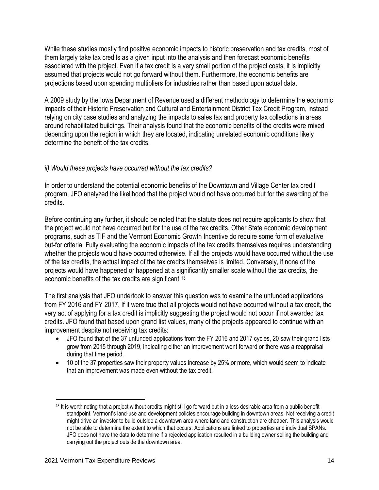While these studies mostly find positive economic impacts to historic preservation and tax credits, most of them largely take tax credits as a given input into the analysis and then forecast economic benefits associated with the project. Even if a tax credit is a very small portion of the project costs, it is implicitly assumed that projects would not go forward without them. Furthermore, the economic benefits are projections based upon spending multipliers for industries rather than based upon actual data.

A 2009 study by the Iowa Department of Revenue used a different methodology to determine the economic impacts of their Historic Preservation and Cultural and Entertainment District Tax Credit Program, instead relying on city case studies and analyzing the impacts to sales tax and property tax collections in areas around rehabilitated buildings. Their analysis found that the economic benefits of the credits were mixed depending upon the region in which they are located, indicating unrelated economic conditions likely determine the benefit of the tax credits.

## *ii) Would these projects have occurred without the tax credits?*

In order to understand the potential economic benefits of the Downtown and Village Center tax credit program, JFO analyzed the likelihood that the project would not have occurred but for the awarding of the credits.

Before continuing any further, it should be noted that the statute does not require applicants to show that the project would not have occurred but for the use of the tax credits. Other State economic development programs, such as TIF and the Vermont Economic Growth Incentive do require some form of evaluative but-for criteria. Fully evaluating the economic impacts of the tax credits themselves requires understanding whether the projects would have occurred otherwise. If all the projects would have occurred without the use of the tax credits, the actual impact of the tax credits themselves is limited. Conversely, if none of the projects would have happened or happened at a significantly smaller scale without the tax credits, the economic benefits of the tax credits are significant.<sup>13</sup>

The first analysis that JFO undertook to answer this question was to examine the unfunded applications from FY 2016 and FY 2017. If it were true that all projects would not have occurred without a tax credit, the very act of applying for a tax credit is implicitly suggesting the project would not occur if not awarded tax credits. JFO found that based upon grand list values, many of the projects appeared to continue with an improvement despite not receiving tax credits:

- JFO found that of the 37 unfunded applications from the FY 2016 and 2017 cycles, 20 saw their grand lists grow from 2015 through 2019, indicating either an improvement went forward or there was a reappraisal during that time period.
- 10 of the 37 properties saw their property values increase by 25% or more, which would seem to indicate that an improvement was made even without the tax credit.

 $13$  It is worth noting that a project without credits might still go forward but in a less desirable area from a public benefit standpoint. Vermont's land-use and development policies encourage building in downtown areas. Not receiving a credit might drive an investor to build outside a downtown area where land and construction are cheaper. This analysis would not be able to determine the extent to which that occurs. Applications are linked to properties and individual SPANs. JFO does not have the data to determine if a rejected application resulted in a building owner selling the building and carrying out the project outside the downtown area.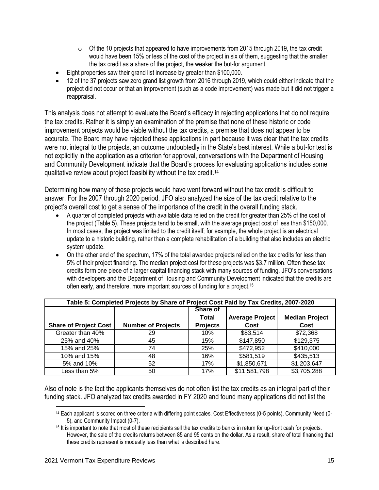- $\circ$  Of the 10 projects that appeared to have improvements from 2015 through 2019, the tax credit would have been 15% or less of the cost of the project in six of them, suggesting that the smaller the tax credit as a share of the project, the weaker the but-for argument.
- Eight properties saw their grand list increase by greater than \$100,000.
- 12 of the 37 projects saw zero grand list growth from 2016 through 2019, which could either indicate that the project did not occur or that an improvement (such as a code improvement) was made but it did not trigger a reappraisal.

This analysis does not attempt to evaluate the Board's efficacy in rejecting applications that do not require the tax credits. Rather it is simply an examination of the premise that none of these historic or code improvement projects would be viable without the tax credits, a premise that does not appear to be accurate. The Board may have rejected these applications in part because it was clear that the tax credits were not integral to the projects, an outcome undoubtedly in the State's best interest. While a but-for test is not explicitly in the application as a criterion for approval, conversations with the Department of Housing and Community Development indicate that the Board's process for evaluating applications includes some qualitative review about project feasibility without the tax credit.<sup>14</sup>

Determining how many of these projects would have went forward without the tax credit is difficult to answer. For the 2007 through 2020 period, JFO also analyzed the size of the tax credit relative to the project's overall cost to get a sense of the importance of the credit in the overall funding stack.

- A quarter of completed projects with available data relied on the credit for greater than 25% of the cost of the project (Table 5). These projects tend to be small, with the average project cost of less than \$150,000. In most cases, the project was limited to the credit itself; for example, the whole project is an electrical update to a historic building, rather than a complete rehabilitation of a building that also includes an electric system update.
- On the other end of the spectrum, 17% of the total awarded projects relied on the tax credits for less than 5% of their project financing. The median project cost for these projects was \$3.7 million. Often these tax credits form one piece of a larger capital financing stack with many sources of funding. JFO's conversations with developers and the Department of Housing and Community Development indicated that the credits are often early, and therefore, more important sources of funding for a project.<sup>15</sup>

| Table 5: Completed Projects by Share of Project Cost Paid by Tax Credits, 2007-2020 |                           |                 |                        |                       |  |  |  |
|-------------------------------------------------------------------------------------|---------------------------|-----------------|------------------------|-----------------------|--|--|--|
|                                                                                     |                           | Share of        |                        |                       |  |  |  |
|                                                                                     |                           | Total           | <b>Average Project</b> | <b>Median Project</b> |  |  |  |
| <b>Share of Project Cost</b>                                                        | <b>Number of Projects</b> | <b>Projects</b> | Cost                   | Cost                  |  |  |  |
| Greater than 40%                                                                    | 29                        | 10%             | \$83,514               | \$72,368              |  |  |  |
| 25% and 40%                                                                         | 45                        | 15%             | \$147,850              | \$129,375             |  |  |  |
| 15% and 25%                                                                         | 74                        | 25%             | \$472,952              | \$410,000             |  |  |  |
| 10% and 15%                                                                         | 48                        | 16%             | \$581,519              | \$435,513             |  |  |  |
| 5% and 10%                                                                          | 52                        | 17%             | \$1,850,671            | \$1,203,647           |  |  |  |
| Less than 5%                                                                        | 50                        | 17%             | \$11,581,798           | \$3,705,288           |  |  |  |

Also of note is the fact the applicants themselves do not often list the tax credits as an integral part of their funding stack. JFO analyzed tax credits awarded in FY 2020 and found many applications did not list the

<sup>14</sup> Each applicant is scored on three criteria with differing point scales. Cost Effectiveness (0-5 points), Community Need (0- 5), and Community Impact (0-7).

<sup>15</sup> It is important to note that most of these recipients sell the tax credits to banks in return for up-front cash for projects. However, the sale of the credits returns between 85 and 95 cents on the dollar. As a result, share of total financing that these credits represent is modestly less than what is described here.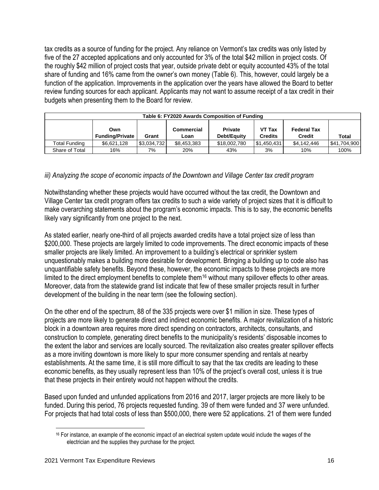tax credits as a source of funding for the project. Any reliance on Vermont's tax credits was only listed by five of the 27 accepted applications and only accounted for 3% of the total \$42 million in project costs. Of the roughly \$42 million of project costs that year, outside private debt or equity accounted 43% of the total share of funding and 16% came from the owner's own money (Table 6). This, however, could largely be a function of the application. Improvements in the application over the years have allowed the Board to better review funding sources for each applicant. Applicants may not want to assume receipt of a tax credit in their budgets when presenting them to the Board for review.

| Table 6: FY2020 Awards Composition of Funding                                                                                                                    |             |             |             |              |              |             |              |
|------------------------------------------------------------------------------------------------------------------------------------------------------------------|-------------|-------------|-------------|--------------|--------------|-------------|--------------|
| VT Tax<br>Commercial<br><b>Private</b><br><b>Federal Tax</b><br>Own<br><b>Funding/Private</b><br>Debt/Equity<br><b>Credits</b><br><b>Credit</b><br>Grant<br>Loan |             |             |             |              | <b>Total</b> |             |              |
| Total Funding                                                                                                                                                    | \$6,621,128 | \$3,034,732 | \$8,453,383 | \$18,002,780 | \$1,450,431  | \$4,142,446 | \$41,704,900 |
| Share of Total                                                                                                                                                   | 16%         | 7%          | 20%         | 43%          | 3%           | 10%         | 100%         |

## *iii) Analyzing the scope of economic impacts of the Downtown and Village Center tax credit program*

Notwithstanding whether these projects would have occurred without the tax credit, the Downtown and Village Center tax credit program offers tax credits to such a wide variety of project sizes that it is difficult to make overarching statements about the program's economic impacts. This is to say, the economic benefits likely vary significantly from one project to the next.

As stated earlier, nearly one-third of all projects awarded credits have a total project size of less than \$200,000. These projects are largely limited to code improvements. The direct economic impacts of these smaller projects are likely limited. An improvement to a building's electrical or sprinkler system unquestionably makes a building more desirable for development. Bringing a building up to code also has unquantifiable safety benefits. Beyond these, however, the economic impacts to these projects are more limited to the direct employment benefits to complete them<sup>16</sup> without many spillover effects to other areas. Moreover, data from the statewide grand list indicate that few of these smaller projects result in further development of the building in the near term (see the following section).

On the other end of the spectrum, 88 of the 335 projects were over \$1 million in size. These types of projects are more likely to generate direct and indirect economic benefits. A major revitalization of a historic block in a downtown area requires more direct spending on contractors, architects, consultants, and construction to complete, generating direct benefits to the municipality's residents' disposable incomes to the extent the labor and services are locally sourced. The revitalization also creates greater spillover effects as a more inviting downtown is more likely to spur more consumer spending and rentals at nearby establishments. At the same time, it is still more difficult to say that the tax credits are leading to these economic benefits, as they usually represent less than 10% of the project's overall cost, unless it is true that these projects in their entirety would not happen without the credits.

Based upon funded and unfunded applications from 2016 and 2017, larger projects are more likely to be funded. During this period, 76 projects requested funding. 39 of them were funded and 37 were unfunded. For projects that had total costs of less than \$500,000, there were 52 applications. 21 of them were funded

<sup>&</sup>lt;sup>16</sup> For instance, an example of the economic impact of an electrical system update would include the wages of the electrician and the supplies they purchase for the project.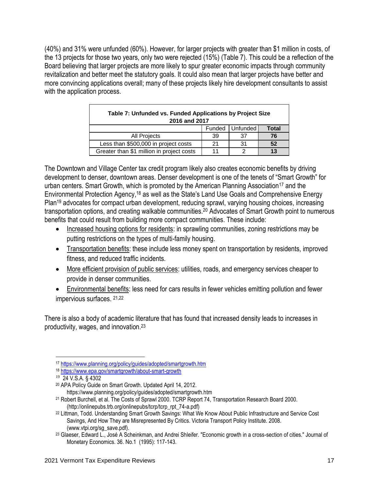(40%) and 31% were unfunded (60%). However, for larger projects with greater than \$1 million in costs, of the 13 projects for those two years, only two were rejected (15%) (Table 7). This could be a reflection of the Board believing that larger projects are more likely to spur greater economic impacts through community revitalization and better meet the statutory goals. It could also mean that larger projects have better and more convincing applications overall; many of these projects likely hire development consultants to assist with the application process.

| Table 7: Unfunded vs. Funded Applications by Project Size<br>2016 and 2017 |    |    |    |  |  |  |
|----------------------------------------------------------------------------|----|----|----|--|--|--|
| Funded   Unfunded<br>Total                                                 |    |    |    |  |  |  |
| <b>All Projects</b>                                                        | 39 | 37 | 76 |  |  |  |
| Less than \$500,000 in project costs                                       | 21 | 31 | 52 |  |  |  |
| Greater than \$1 million in project costs                                  |    |    | 13 |  |  |  |

The Downtown and Village Center tax credit program likely also creates economic benefits by driving development to denser, downtown areas. Denser development is one of the tenets of "Smart Growth" for urban centers. Smart Growth, which is promoted by the American Planning Association<sup>17</sup> and the Environmental Protection Agency,<sup>18</sup> as well as the State's Land Use Goals and Comprehensive Energy Plan<sup>19</sup> advocates for compact urban development, reducing sprawl, varying housing choices, increasing transportation options, and creating walkable communities.<sup>20</sup> Advocates of Smart Growth point to numerous benefits that could result from building more compact communities. These include:

- Increased housing options for residents: in sprawling communities, zoning restrictions may be putting restrictions on the types of multi-family housing.
- Transportation benefits: these include less money spent on transportation by residents, improved fitness, and reduced traffic incidents.
- More efficient provision of public services: utilities, roads, and emergency services cheaper to provide in denser communities.
- Environmental benefits: less need for cars results in fewer vehicles emitting pollution and fewer impervious surfaces. 21,22

There is also a body of academic literature that has found that increased density leads to increases in productivity, wages, and innovation.<sup>23</sup>

<sup>21</sup> Robert Burchell, et al. The Costs of Sprawl 2000. TCRP Report 74, Transportation Research Board 2000. (http://onlinepubs.trb.org/onlinepubs/tcrp/tcrp\_rpt\_74-a.pdf)

<sup>17</sup> <https://www.planning.org/policy/guides/adopted/smartgrowth.htm>

<sup>18</sup> <https://www.epa.gov/smartgrowth/about-smart-growth>

<sup>19</sup> 24 V.S.A. § 4302

<sup>20</sup> APA Policy Guide on Smart Growth. Updated April 14, 2012. https://www.planning.org/policy/guides/adopted/smartgrowth.htm

<sup>22</sup> Littman, Todd. Understanding Smart Growth Savings: What We Know About Public Infrastructure and Service Cost Savings, And How They are Misrepresented By Critics. Victoria Transport Policy Institute. 2008. (www.vtpi.org/sg\_save.pdf).

<sup>23</sup> Glaeser, Edward L., José A Scheinkman, and Andrei Shleifer. "Economic growth in a cross-section of cities." Journal of Monetary Economics. 36. No.1 (1995): 117-143.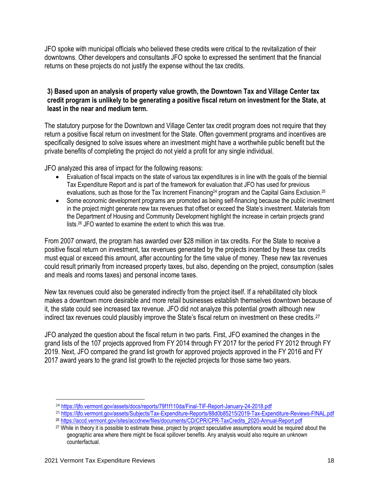JFO spoke with municipal officials who believed these credits were critical to the revitalization of their downtowns. Other developers and consultants JFO spoke to expressed the sentiment that the financial returns on these projects do not justify the expense without the tax credits.

## **3) Based upon an analysis of property value growth, the Downtown Tax and Village Center tax credit program is unlikely to be generating a positive fiscal return on investment for the State, at least in the near and medium term.**

The statutory purpose for the Downtown and Village Center tax credit program does not require that they return a positive fiscal return on investment for the State. Often government programs and incentives are specifically designed to solve issues where an investment might have a worthwhile public benefit but the private benefits of completing the project do not yield a profit for any single individual.

JFO analyzed this area of impact for the following reasons:

- Evaluation of fiscal impacts on the state of various tax expenditures is in line with the goals of the biennial Tax Expenditure Report and is part of the framework for evaluation that JFO has used for previous evaluations, such as those for the Tax Increment Financing<sup>24</sup> program and the Capital Gains Exclusion.<sup>25</sup>
- Some economic development programs are promoted as being self-financing because the public investment in the project might generate new tax revenues that offset or exceed the State's investment. Materials from the Department of Housing and Community Development highlight the increase in certain projects grand lists.<sup>26</sup> JFO wanted to examine the extent to which this was true.

From 2007 onward, the program has awarded over \$28 million in tax credits. For the State to receive a positive fiscal return on investment, tax revenues generated by the projects incented by these tax credits must equal or exceed this amount, after accounting for the time value of money. These new tax revenues could result primarily from increased property taxes, but also, depending on the project, consumption (sales and meals and rooms taxes) and personal income taxes.

New tax revenues could also be generated indirectly from the project itself. If a rehabilitated city block makes a downtown more desirable and more retail businesses establish themselves downtown because of it, the state could see increased tax revenue. JFO did not analyze this potential growth although new indirect tax revenues could plausibly improve the State's fiscal return on investment on these credits.<sup>27</sup>

JFO analyzed the question about the fiscal return in two parts. First, JFO examined the changes in the grand lists of the 107 projects approved from FY 2014 through FY 2017 for the period FY 2012 through FY 2019. Next, JFO compared the grand list growth for approved projects approved in the FY 2016 and FY 2017 award years to the grand list growth to the rejected projects for those same two years.

<sup>24</sup> <https://ljfo.vermont.gov/assets/docs/reports/79f1f110da/Final-TIF-Report-January-24-2018.pdf>

<sup>25</sup> <https://ljfo.vermont.gov/assets/Subjects/Tax-Expenditure-Reports/88d0b85215/2019-Tax-Expenditure-Reviews-FINAL.pdf>

<sup>26</sup> [https://accd.vermont.gov/sites/accdnew/files/documents/CD/CPR/CPR-TaxCredits\\_2020-Annual-Report.pdf](https://accd.vermont.gov/sites/accdnew/files/documents/CD/CPR/CPR-TaxCredits_2020-Annual-Report.pdf)

<sup>27</sup> While in theory it is possible to estimate these, project by project speculative assumptions would be required about the geographic area where there might be fiscal spillover benefits. Any analysis would also require an unknown counterfactual.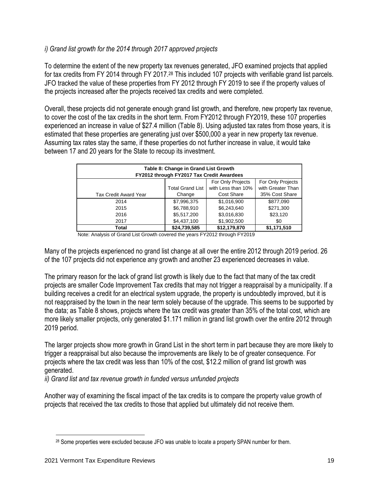## *i) Grand list growth for the 2014 through 2017 approved projects*

To determine the extent of the new property tax revenues generated, JFO examined projects that applied for tax credits from FY 2014 through FY 2017.<sup>28</sup> This included 107 projects with verifiable grand list parcels. JFO tracked the value of these properties from FY 2012 through FY 2019 to see if the property values of the projects increased after the projects received tax credits and were completed.

Overall, these projects did not generate enough grand list growth, and therefore, new property tax revenue, to cover the cost of the tax credits in the short term. From FY2012 through FY2019, these 107 properties experienced an increase in value of \$27.4 million (Table 8). Using adjusted tax rates from those years, it is estimated that these properties are generating just over \$500,000 a year in new property tax revenue. Assuming tax rates stay the same, if these properties do not further increase in value, it would take between 17 and 20 years for the State to recoup its investment.

| Table 8: Change in Grand List Growth<br>FY2012 through FY2017 Tax Credit Awardees |                                                                    |              |                |  |  |  |  |  |
|-----------------------------------------------------------------------------------|--------------------------------------------------------------------|--------------|----------------|--|--|--|--|--|
|                                                                                   | For Only Projects<br>For Only Projects                             |              |                |  |  |  |  |  |
|                                                                                   | with Greater Than<br>with Less than 10%<br><b>Total Grand List</b> |              |                |  |  |  |  |  |
| Tax Credit Award Year                                                             | Change                                                             | Cost Share   | 35% Cost Share |  |  |  |  |  |
| 2014                                                                              | \$7,996,375                                                        | \$1,016,900  | \$877.090      |  |  |  |  |  |
| 2015                                                                              | \$6,788,910                                                        | \$6,243,640  | \$271,300      |  |  |  |  |  |
| 2016                                                                              | \$5,517,200                                                        | \$3,016,830  | \$23,120       |  |  |  |  |  |
| \$4,437,100<br>\$1,902,500<br>2017<br>\$0                                         |                                                                    |              |                |  |  |  |  |  |
| Total                                                                             | \$24,739,585                                                       | \$12,179,870 | \$1,171,510    |  |  |  |  |  |

Note: Analysis of Grand List Growth covered the years FY2012 through FY2019

Many of the projects experienced no grand list change at all over the entire 2012 through 2019 period. 26 of the 107 projects did not experience any growth and another 23 experienced decreases in value.

The primary reason for the lack of grand list growth is likely due to the fact that many of the tax credit projects are smaller Code Improvement Tax credits that may not trigger a reappraisal by a municipality. If a building receives a credit for an electrical system upgrade, the property is undoubtedly improved, but it is not reappraised by the town in the near term solely because of the upgrade. This seems to be supported by the data; as Table 8 shows, projects where the tax credit was greater than 35% of the total cost, which are more likely smaller projects, only generated \$1.171 million in grand list growth over the entire 2012 through 2019 period.

The larger projects show more growth in Grand List in the short term in part because they are more likely to trigger a reappraisal but also because the improvements are likely to be of greater consequence. For projects where the tax credit was less than 10% of the cost, \$12.2 million of grand list growth was generated.

*ii) Grand list and tax revenue growth in funded versus unfunded projects*

Another way of examining the fiscal impact of the tax credits is to compare the property value growth of projects that received the tax credits to those that applied but ultimately did not receive them.

<sup>&</sup>lt;sup>28</sup> Some properties were excluded because JFO was unable to locate a property SPAN number for them.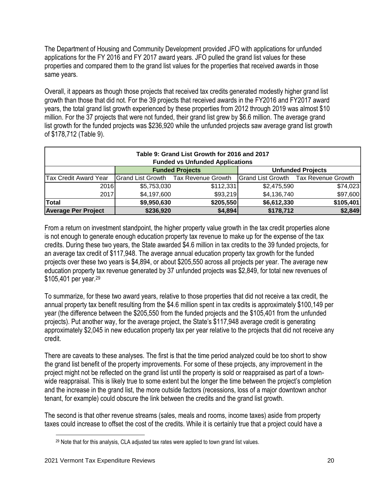The Department of Housing and Community Development provided JFO with applications for unfunded applications for the FY 2016 and FY 2017 award years. JFO pulled the grand list values for these properties and compared them to the grand list values for the properties that received awards in those same years.

Overall, it appears as though those projects that received tax credits generated modestly higher grand list growth than those that did not. For the 39 projects that received awards in the FY2016 and FY2017 award years, the total grand list growth experienced by these properties from 2012 through 2019 was almost \$10 million. For the 37 projects that were not funded, their grand list grew by \$6.6 million. The average grand list growth for the funded projects was \$236,920 while the unfunded projects saw average grand list growth of \$178,712 (Table 9).

| Table 9: Grand List Growth for 2016 and 2017<br><b>Funded vs Unfunded Applications</b> |             |                                      |             |                                      |  |  |  |
|----------------------------------------------------------------------------------------|-------------|--------------------------------------|-------------|--------------------------------------|--|--|--|
| <b>Funded Projects</b><br><b>Unfunded Projects</b>                                     |             |                                      |             |                                      |  |  |  |
| <b>Tax Credit Award Year</b>                                                           |             | Grand List Growth Tax Revenue Growth |             | Grand List Growth Tax Revenue Growth |  |  |  |
| 2016                                                                                   | \$5,753,030 | \$112,331                            | \$2,475,590 | \$74,023                             |  |  |  |
| 2017                                                                                   | \$4,197,600 | \$93,219                             | \$4,136,740 | \$97,600                             |  |  |  |
| \$105,401<br>\$205,550<br>\$9,950,630<br><b>Total</b><br>\$6,612,330                   |             |                                      |             |                                      |  |  |  |
| Average Per Project                                                                    | \$236,920   | \$4,894                              | \$178,712   | \$2,849                              |  |  |  |

From a return on investment standpoint, the higher property value growth in the tax credit properties alone is not enough to generate enough education property tax revenue to make up for the expense of the tax credits. During these two years, the State awarded \$4.6 million in tax credits to the 39 funded projects, for an average tax credit of \$117,948. The average annual education property tax growth for the funded projects over these two years is \$4,894, or about \$205,550 across all projects per year. The average new education property tax revenue generated by 37 unfunded projects was \$2,849, for total new revenues of \$105,401 per year.<sup>29</sup>

To summarize, for these two award years, relative to those properties that did not receive a tax credit, the annual property tax benefit resulting from the \$4.6 million spent in tax credits is approximately \$100,149 per year (the difference between the \$205,550 from the funded projects and the \$105,401 from the unfunded projects). Put another way, for the average project, the State's \$117,948 average credit is generating approximately \$2,045 in new education property tax per year relative to the projects that did not receive any credit.

There are caveats to these analyses. The first is that the time period analyzed could be too short to show the grand list benefit of the property improvements. For some of these projects, any improvement in the project might not be reflected on the grand list until the property is sold or reappraised as part of a townwide reappraisal. This is likely true to some extent but the longer the time between the project's completion and the increase in the grand list, the more outside factors (recessions, loss of a major downtown anchor tenant, for example) could obscure the link between the credits and the grand list growth.

The second is that other revenue streams (sales, meals and rooms, income taxes) aside from property taxes could increase to offset the cost of the credits. While it is certainly true that a project could have a

<sup>&</sup>lt;sup>29</sup> Note that for this analysis, CLA adjusted tax rates were applied to town grand list values.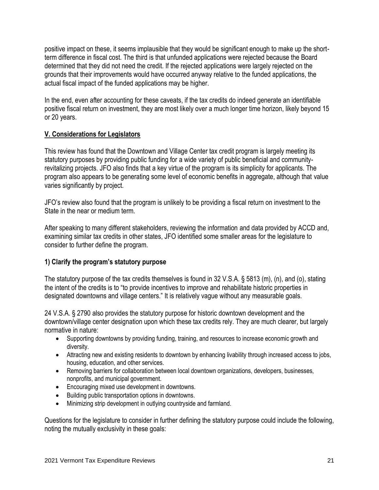positive impact on these, it seems implausible that they would be significant enough to make up the shortterm difference in fiscal cost. The third is that unfunded applications were rejected because the Board determined that they did not need the credit. If the rejected applications were largely rejected on the grounds that their improvements would have occurred anyway relative to the funded applications, the actual fiscal impact of the funded applications may be higher.

In the end, even after accounting for these caveats, if the tax credits do indeed generate an identifiable positive fiscal return on investment, they are most likely over a much longer time horizon, likely beyond 15 or 20 years.

## **V. Considerations for Legislators**

This review has found that the Downtown and Village Center tax credit program is largely meeting its statutory purposes by providing public funding for a wide variety of public beneficial and communityrevitalizing projects. JFO also finds that a key virtue of the program is its simplicity for applicants. The program also appears to be generating some level of economic benefits in aggregate, although that value varies significantly by project.

JFO's review also found that the program is unlikely to be providing a fiscal return on investment to the State in the near or medium term.

After speaking to many different stakeholders, reviewing the information and data provided by ACCD and, examining similar tax credits in other states, JFO identified some smaller areas for the legislature to consider to further define the program.

## **1) Clarify the program's statutory purpose**

The statutory purpose of the tax credits themselves is found in 32 V.S.A. § 5813 (m), (n), and (o), stating the intent of the credits is to "to provide incentives to improve and rehabilitate historic properties in designated downtowns and village centers." It is relatively vague without any measurable goals.

24 V.S.A. § 2790 also provides the statutory purpose for historic downtown development and the downtown/village center designation upon which these tax credits rely. They are much clearer, but largely normative in nature:

- Supporting downtowns by providing funding, training, and resources to increase economic growth and diversity.
- Attracting new and existing residents to downtown by enhancing livability through increased access to jobs, housing, education, and other services.
- Removing barriers for collaboration between local downtown organizations, developers, businesses, nonprofits, and municipal government.
- Encouraging mixed use development in downtowns.
- Building public transportation options in downtowns.
- Minimizing strip development in outlying countryside and farmland.

Questions for the legislature to consider in further defining the statutory purpose could include the following, noting the mutually exclusivity in these goals: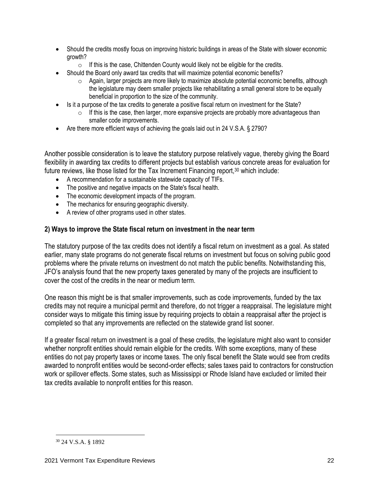- Should the credits mostly focus on improving historic buildings in areas of the State with slower economic growth?
	- $\circ$  If this is the case, Chittenden County would likely not be eligible for the credits.
- Should the Board only award tax credits that will maximize potential economic benefits?
	- $\circ$  Again, larger projects are more likely to maximize absolute potential economic benefits, although the legislature may deem smaller projects like rehabilitating a small general store to be equally beneficial in proportion to the size of the community.
- Is it a purpose of the tax credits to generate a positive fiscal return on investment for the State?
	- $\circ$  If this is the case, then larger, more expansive projects are probably more advantageous than smaller code improvements.
- Are there more efficient ways of achieving the goals laid out in 24 V.S.A. § 2790?

Another possible consideration is to leave the statutory purpose relatively vague, thereby giving the Board flexibility in awarding tax credits to different projects but establish various concrete areas for evaluation for future reviews, like those listed for the Tax Increment Financing report,<sup>30</sup> which include:

- A recommendation for a sustainable statewide capacity of TIFs.
- The positive and negative impacts on the State's fiscal health.
- The economic development impacts of the program.
- The mechanics for ensuring geographic diversity.
- A review of other programs used in other states.

## **2) Ways to improve the State fiscal return on investment in the near term**

The statutory purpose of the tax credits does not identify a fiscal return on investment as a goal. As stated earlier, many state programs do not generate fiscal returns on investment but focus on solving public good problems where the private returns on investment do not match the public benefits. Notwithstanding this, JFO's analysis found that the new property taxes generated by many of the projects are insufficient to cover the cost of the credits in the near or medium term.

One reason this might be is that smaller improvements, such as code improvements, funded by the tax credits may not require a municipal permit and therefore, do not trigger a reappraisal. The legislature might consider ways to mitigate this timing issue by requiring projects to obtain a reappraisal after the project is completed so that any improvements are reflected on the statewide grand list sooner.

If a greater fiscal return on investment is a goal of these credits, the legislature might also want to consider whether nonprofit entities should remain eligible for the credits. With some exceptions, many of these entities do not pay property taxes or income taxes. The only fiscal benefit the State would see from credits awarded to nonprofit entities would be second-order effects; sales taxes paid to contractors for construction work or spillover effects. Some states, such as Mississippi or Rhode Island have excluded or limited their tax credits available to nonprofit entities for this reason.

<sup>30</sup> 24 V.S.A. § 1892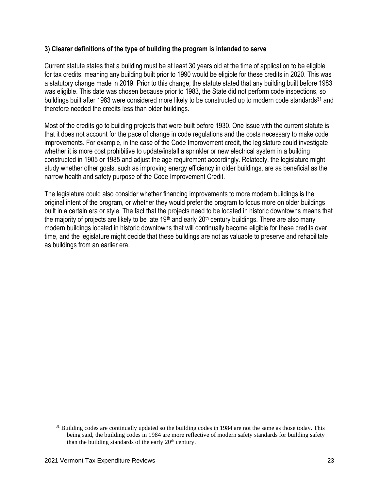### **3) Clearer definitions of the type of building the program is intended to serve**

Current statute states that a building must be at least 30 years old at the time of application to be eligible for tax credits, meaning any building built prior to 1990 would be eligible for these credits in 2020. This was a statutory change made in 2019. Prior to this change, the statute stated that any building built before 1983 was eligible. This date was chosen because prior to 1983, the State did not perform code inspections, so buildings built after 1983 were considered more likely to be constructed up to modern code standards<sup>31</sup> and therefore needed the credits less than older buildings.

Most of the credits go to building projects that were built before 1930. One issue with the current statute is that it does not account for the pace of change in code regulations and the costs necessary to make code improvements. For example, in the case of the Code Improvement credit, the legislature could investigate whether it is more cost prohibitive to update/install a sprinkler or new electrical system in a building constructed in 1905 or 1985 and adjust the age requirement accordingly. Relatedly, the legislature might study whether other goals, such as improving energy efficiency in older buildings, are as beneficial as the narrow health and safety purpose of the Code Improvement Credit.

The legislature could also consider whether financing improvements to more modern buildings is the original intent of the program, or whether they would prefer the program to focus more on older buildings built in a certain era or style. The fact that the projects need to be located in historic downtowns means that the majority of projects are likely to be late 19<sup>th</sup> and early 20<sup>th</sup> century buildings. There are also many modern buildings located in historic downtowns that will continually become eligible for these credits over time, and the legislature might decide that these buildings are not as valuable to preserve and rehabilitate as buildings from an earlier era.

<sup>&</sup>lt;sup>31</sup> Building codes are continually updated so the building codes in 1984 are not the same as those today. This being said, the building codes in 1984 are more reflective of modern safety standards for building safety than the building standards of the early  $20<sup>th</sup>$  century.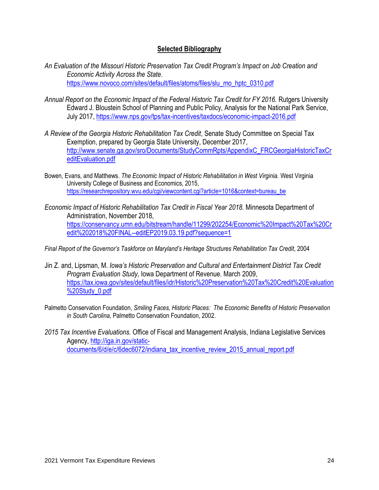## **Selected Bibliography**

- *An Evaluation of the Missouri Historic Preservation Tax Credit Program's Impact on Job Creation and Economic Activity Across the State*. [https://www.novoco.com/sites/default/files/atoms/files/slu\\_mo\\_hptc\\_0310.pdf](https://www.novoco.com/sites/default/files/atoms/files/slu_mo_hptc_0310.pdf)
- *Annual Report on the Economic Impact of the Federal Historic Tax Credit for FY 2016.* Rutgers University Edward J. Bloustein School of Planning and Public Policy, Analysis for the National Park Service, July 2017,<https://www.nps.gov/tps/tax-incentives/taxdocs/economic-impact-2016.pdf>
- *A Review of the Georgia Historic Rehabilitation Tax Credit*, Senate Study Committee on Special Tax Exemption, prepared by Georgia State University, December 2017, [http://www.senate.ga.gov/sro/Documents/StudyCommRpts/AppendixC\\_FRCGeorgiaHistoricTaxCr](http://www.senate.ga.gov/sro/Documents/StudyCommRpts/AppendixC_FRCGeorgiaHistoricTaxCreditEvaluation.pdf) [editEvaluation.pdf](http://www.senate.ga.gov/sro/Documents/StudyCommRpts/AppendixC_FRCGeorgiaHistoricTaxCreditEvaluation.pdf)
- Bowen, Evans, and Matthews. *The Economic Impact of Historic Rehabilitation in West Virginia.* West Virginia University College of Business and Economics, 2015, [https://researchrepository.wvu.edu/cgi/viewcontent.cgi?article=1016&context=bureau\\_be](https://researchrepository.wvu.edu/cgi/viewcontent.cgi?article=1016&context=bureau_be)
- *Economic Impact of Historic Rehabilitation Tax Credit in Fiscal Year 2018.* Minnesota Department of Administration, November 2018, [https://conservancy.umn.edu/bitstream/handle/11299/202254/Economic%20Impact%20Tax%20Cr](https://conservancy.umn.edu/bitstream/handle/11299/202254/Economic%20Impact%20Tax%20Credit%202018%20FINAL--editEP2019.03.19.pdf?sequence=1) [edit%202018%20FINAL--editEP2019.03.19.pdf?sequence=1](https://conservancy.umn.edu/bitstream/handle/11299/202254/Economic%20Impact%20Tax%20Credit%202018%20FINAL--editEP2019.03.19.pdf?sequence=1)

*Final Report of the Governor's Taskforce on Maryland's Heritage Structures Rehabilitation Tax Credit*, 2004

- Jin Z. and, Lipsman, M. *Iowa's Historic Preservation and Cultural and Entertainment District Tax Credit Program Evaluation Study,* Iowa Department of Revenue. March 2009, [https://tax.iowa.gov/sites/default/files/idr/Historic%20Preservation%20Tax%20Credit%20Evaluation](https://tax.iowa.gov/sites/default/files/idr/Historic%20Preservation%20Tax%20Credit%20Evaluation%20Study_0.pdf) [%20Study\\_0.pdf](https://tax.iowa.gov/sites/default/files/idr/Historic%20Preservation%20Tax%20Credit%20Evaluation%20Study_0.pdf)
- Palmetto Conservation Foundation, *Smiling Faces, Historic Places: The Economic Benefits of Historic Preservation in South Carolina*, Palmetto Conservation Foundation, 2002.
- *2015 Tax Incentive Evaluations.* Office of Fiscal and Management Analysis, Indiana Legislative Services Agency, [http://iga.in.gov/static](http://iga.in.gov/static-documents/6/d/e/c/6dec6072/indiana_tax_incentive_review_2015_annual_report.pdf)[documents/6/d/e/c/6dec6072/indiana\\_tax\\_incentive\\_review\\_2015\\_annual\\_report.pdf](http://iga.in.gov/static-documents/6/d/e/c/6dec6072/indiana_tax_incentive_review_2015_annual_report.pdf)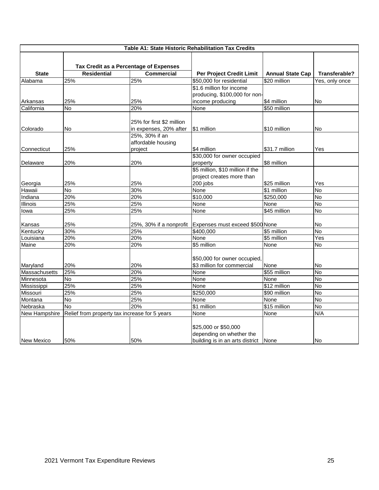| Table A1: State Historic Rehabilitation Tax Credits |                                               |                           |                                                                                          |                         |                |  |
|-----------------------------------------------------|-----------------------------------------------|---------------------------|------------------------------------------------------------------------------------------|-------------------------|----------------|--|
|                                                     | Tax Credit as a Percentage of Expenses        |                           |                                                                                          |                         |                |  |
| <b>State</b>                                        | <b>Residential</b>                            | <b>Commercial</b>         | Per Project Credit Limit                                                                 | <b>Annual State Cap</b> | Transferable?  |  |
| Alabama                                             | 25%                                           | 25%                       | \$50,000 for residential                                                                 | \$20 million            | Yes, only once |  |
|                                                     |                                               |                           | \$1.6 million for income                                                                 |                         |                |  |
|                                                     |                                               |                           | producing, \$100,000 for non-                                                            |                         |                |  |
| Arkansas                                            | 25%                                           | 25%                       | income producing                                                                         | \$4 million             | No             |  |
| California                                          | No                                            | 20%                       | None                                                                                     | \$50 million            |                |  |
|                                                     |                                               |                           |                                                                                          |                         |                |  |
|                                                     |                                               | 25% for first \$2 million |                                                                                          |                         |                |  |
| Colorado                                            | No                                            | in expenses, 20% after    | \$1 million                                                                              | \$10 million            | No             |  |
|                                                     |                                               | 25%, 30% if an            |                                                                                          |                         |                |  |
|                                                     |                                               | affordable housing        |                                                                                          |                         |                |  |
| Connecticut                                         | 25%                                           | project                   | \$4 million                                                                              | \$31.7 million          | Yes            |  |
|                                                     |                                               |                           | \$30,000 for owner occupied                                                              |                         |                |  |
| Delaware                                            | 20%                                           | 20%                       | property                                                                                 | \$8 million             |                |  |
|                                                     |                                               |                           | \$5 million, \$10 million if the                                                         |                         |                |  |
|                                                     |                                               |                           | project creates more than                                                                |                         |                |  |
| Georgia                                             | 25%                                           | 25%                       | 200 jobs                                                                                 | \$25 million            | Yes            |  |
| Hawaii                                              | No                                            | 30%                       | None                                                                                     | \$1 million             | <b>No</b>      |  |
| Indiana                                             | 20%                                           | 20%                       | \$10,000                                                                                 | \$250,000               | <b>No</b>      |  |
| <b>Illinois</b>                                     | 25%                                           | 25%                       | None                                                                                     | None                    | <b>No</b>      |  |
| lowa                                                | 25%                                           | 25%                       | None                                                                                     | \$45 million            | $\overline{N}$ |  |
| Kansas                                              | 25%                                           |                           | 25%, 30% if a nonprofit Expenses must exceed \$500 None                                  |                         | No             |  |
| Kentucky                                            | 30%                                           | 25%                       | \$400,000                                                                                | \$5 million             | <b>No</b>      |  |
| Louisiana                                           | 20%                                           | 20%                       | None                                                                                     | \$5 million             | Yes            |  |
| Maine                                               | 20%                                           | 20%                       | \$5 million                                                                              | None                    | No             |  |
|                                                     |                                               |                           | \$50,000 for owner occupied                                                              |                         |                |  |
| Maryland                                            | 20%                                           | 20%                       | \$3 million for commercial                                                               | None                    | No             |  |
| Massachusetts                                       | 25%                                           | 20%                       | None                                                                                     | \$55 million            | N <sub>o</sub> |  |
| Minnesota                                           | <b>No</b>                                     | 25%                       | None                                                                                     | None                    | No             |  |
| Mississippi                                         | 25%                                           | 25%                       | None                                                                                     | $$12$ million           | $\overline{N}$ |  |
| Missouri                                            | 25%                                           | 25%                       | \$250,000                                                                                | \$90 million            | No             |  |
| Montana                                             | <b>No</b>                                     | 25%                       | None                                                                                     | None                    | $\overline{N}$ |  |
| Nebraska                                            | Μ                                             | 20%                       | \$1 million                                                                              | \$15 million            | $\overline{N}$ |  |
| New Hampshire                                       | Relief from property tax increase for 5 years |                           | None                                                                                     | None                    | N/A            |  |
| <b>New Mexico</b>                                   | 50%                                           | 50%                       | \$25,000 or \$50,000<br>depending on whether the<br>building is in an arts district None |                         | <b>No</b>      |  |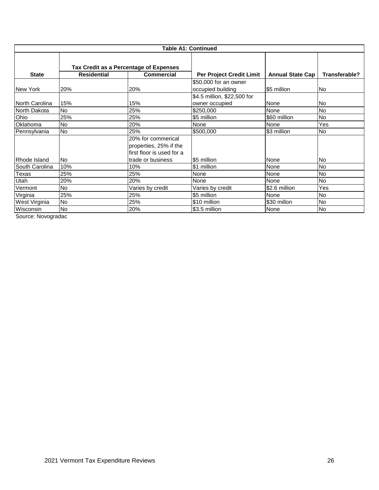| <b>Table A1: Continued</b>        |                                        |                                                                           |                                               |                         |               |  |
|-----------------------------------|----------------------------------------|---------------------------------------------------------------------------|-----------------------------------------------|-------------------------|---------------|--|
|                                   | Tax Credit as a Percentage of Expenses |                                                                           |                                               |                         |               |  |
| <b>State</b>                      | <b>Residential</b>                     | <b>Commercial</b>                                                         | Per Project Credit Limit                      | <b>Annual State Cap</b> | Transferable? |  |
| New York                          | 20%                                    | 20%                                                                       | \$50,000 for an owner<br>occupied building    | \$5 million             | No            |  |
| North Carolina                    | 15%                                    | 15%                                                                       | \$4.5 million, \$22,500 for<br>owner occupied | None                    | No            |  |
| North Dakota                      | <b>No</b>                              | 25%                                                                       | \$250,000                                     | None                    | No            |  |
| Ohio                              | 25%                                    | 25%                                                                       | \$5 million                                   | \$60 million            | No            |  |
| Oklahoma                          | No                                     | 20%                                                                       | None                                          | None                    | Yes           |  |
| Pennsylvania                      | <b>No</b>                              | 25%                                                                       | \$500,000                                     | \$3 million             | <b>No</b>     |  |
|                                   |                                        | 20% for commerical<br>properties, 25% if the<br>first floor is used for a |                                               |                         |               |  |
| Rhode Island                      | No.                                    | trade or business                                                         | \$5 million                                   | None                    | lNo.          |  |
| South Carolina                    | 10%                                    | 10%                                                                       | \$1 million                                   | None                    | <b>No</b>     |  |
| Texas                             | 25%                                    | 25%                                                                       | None                                          | None                    | <b>No</b>     |  |
| Utah                              | 20%                                    | 20%                                                                       | None                                          | None                    | <b>No</b>     |  |
| Vermont                           | <b>No</b>                              | Varies by credit                                                          | Varies by credit                              | \$2.6 million           | Yes           |  |
| Virginia                          | 25%                                    | 25%                                                                       | \$5 million                                   | None                    | No            |  |
| West Virginia                     | No                                     | 25%                                                                       | \$10 million                                  | \$30 millon             | No            |  |
| Wisconsin<br>$\ddot{\phantom{1}}$ | No                                     | 20%                                                                       | \$3.5 million                                 | None                    | <b>No</b>     |  |

Source: Novogradac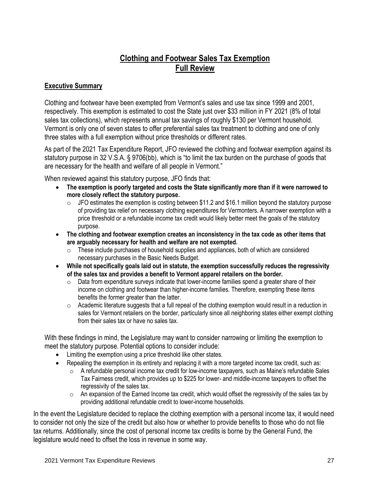## **Clothing and Footwear Sales Tax Exemption Full Review**

## **Executive Summary**

Clothing and footwear have been exempted from Vermont's sales and use tax since 1999 and 2001, respectively. This exemption is estimated to cost the State just over \$33 million in FY 2021 (8% of total sales tax collections), which represents annual tax savings of roughly \$130 per Vermont household. Vermont is only one of seven states to offer preferential sales tax treatment to clothing and one of only three states with a full exemption without price thresholds or different rates.

As part of the 2021 Tax Expenditure Report, JFO reviewed the clothing and footwear exemption against its statutory purpose in 32 V.S.A. § 9706(bb), which is "to limit the tax burden on the purchase of goods that are necessary for the health and welfare of all people in Vermont."

When reviewed against this statutory purpose, JFO finds that:

- **The exemption is poorly targeted and costs the State significantly more than if it were narrowed to more closely reflect the statutory purpose.**
	- $\circ$  JFO estimates the exemption is costing between \$11.2 and \$16.1 million beyond the statutory purpose of providing tax relief on necessary clothing expenditures for Vermonters. A narrower exemption with a price threshold or a refundable income tax credit would likely better meet the goals of the statutory purpose.
- **The clothing and footwear exemption creates an inconsistency in the tax code as other items that are arguably necessary for health and welfare are not exempted.** 
	- $\circ$  These include purchases of household supplies and appliances, both of which are considered necessary purchases in the Basic Needs Budget.
- **While not specifically goals laid out in statute, the exemption successfully reduces the regressivity of the sales tax and provides a benefit to Vermont apparel retailers on the border.** 
	- o Data from expenditure surveys indicate that lower-income families spend a greater share of their income on clothing and footwear than higher-income families. Therefore, exempting these items benefits the former greater than the latter.
	- $\circ$  Academic literature suggests that a full repeal of the clothing exemption would result in a reduction in sales for Vermont retailers on the border, particularly since all neighboring states either exempt clothing from their sales tax or have no sales tax.

With these findings in mind, the Legislature may want to consider narrowing or limiting the exemption to meet the statutory purpose. Potential options to consider include:

- Limiting the exemption using a price threshold like other states.
- Repealing the exemption in its entirety and replacing it with a more targeted income tax credit, such as:
	- $\circ$  A refundable personal income tax credit for low-income taxpayers, such as Maine's refundable Sales Tax Fairness credit, which provides up to \$225 for lower- and middle-income taxpayers to offset the regressivity of the sales tax.
	- $\circ$  An expansion of the Earned Income tax credit, which would offset the regressivity of the sales tax by providing additional refundable credit to lower-income households.

In the event the Legislature decided to replace the clothing exemption with a personal income tax, it would need to consider not only the size of the credit but also how or whether to provide benefits to those who do not file tax returns. Additionally, since the cost of personal income tax credits is borne by the General Fund, the legislature would need to offset the loss in revenue in some way.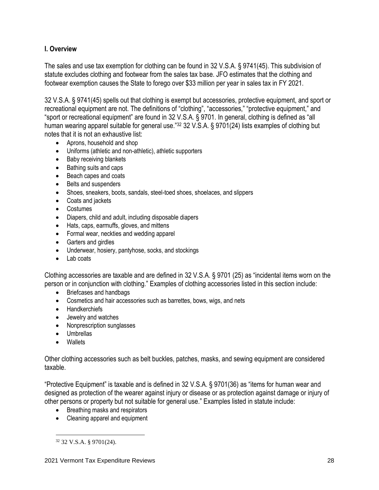## **I. Overview**

The sales and use tax exemption for clothing can be found in 32 V.S.A. § 9741(45). This subdivision of statute excludes clothing and footwear from the sales tax base. JFO estimates that the clothing and footwear exemption causes the State to forego over \$33 million per year in sales tax in FY 2021.

32 V.S.A. § 9741(45) spells out that clothing is exempt but accessories, protective equipment, and sport or recreational equipment are not. The definitions of "clothing", "accessories," "protective equipment," and "sport or recreational equipment" are found in 32 V.S.A. § 9701. In general, clothing is defined as "all human wearing apparel suitable for general use."<sup>32</sup> 32 V.S.A. § 9701(24) lists examples of clothing but notes that it is not an exhaustive list:

- Aprons, household and shop
- Uniforms (athletic and non-athletic), athletic supporters
- Baby receiving blankets
- Bathing suits and caps
- Beach capes and coats
- Belts and suspenders
- Shoes, sneakers, boots, sandals, steel-toed shoes, shoelaces, and slippers
- Coats and jackets
- Costumes
- Diapers, child and adult, including disposable diapers
- Hats, caps, earmuffs, gloves, and mittens
- Formal wear, neckties and wedding apparel
- Garters and girdles
- Underwear, hosiery, pantyhose, socks, and stockings
- Lab coats

Clothing accessories are taxable and are defined in 32 V.S.A. § 9701 (25) as "incidental items worn on the person or in conjunction with clothing." Examples of clothing accessories listed in this section include:

- Briefcases and handbags
- Cosmetics and hair accessories such as barrettes, bows, wigs, and nets
- Handkerchiefs
- Jewelry and watches
- Nonprescription sunglasses
- Umbrellas
- Wallets

Other clothing accessories such as belt buckles, patches, masks, and sewing equipment are considered taxable.

"Protective Equipment" is taxable and is defined in 32 V.S.A. § 9701(36) as "items for human wear and designed as protection of the wearer against injury or disease or as protection against damage or injury of other persons or property but not suitable for general use." Examples listed in statute include:

- Breathing masks and respirators
- Cleaning apparel and equipment

<sup>32</sup> 32 V.S.A. § 9701(24).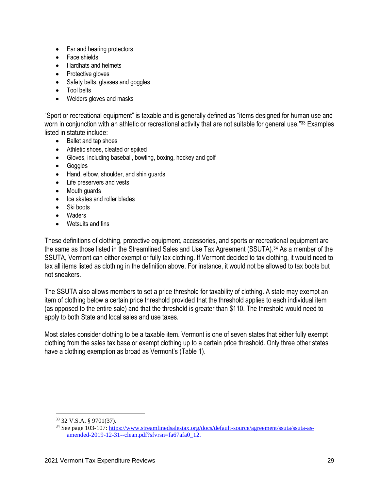- Ear and hearing protectors
- Face shields
- Hardhats and helmets
- Protective gloves
- Safety belts, glasses and goggles
- Tool belts
- Welders gloves and masks

"Sport or recreational equipment" is taxable and is generally defined as "items designed for human use and worn in conjunction with an athletic or recreational activity that are not suitable for general use."<sup>33</sup> Examples listed in statute include:

- Ballet and tap shoes
- Athletic shoes, cleated or spiked
- Gloves, including baseball, bowling, boxing, hockey and golf
- Goggles
- Hand, elbow, shoulder, and shin guards
- Life preservers and vests
- Mouth guards
- Ice skates and roller blades
- Ski boots
- Waders
- Wetsuits and fins

These definitions of clothing, protective equipment, accessories, and sports or recreational equipment are the same as those listed in the Streamlined Sales and Use Tax Agreement (SSUTA).<sup>34</sup> As a member of the SSUTA, Vermont can either exempt or fully tax clothing. If Vermont decided to tax clothing, it would need to tax all items listed as clothing in the definition above. For instance, it would not be allowed to tax boots but not sneakers.

The SSUTA also allows members to set a price threshold for taxability of clothing. A state may exempt an item of clothing below a certain price threshold provided that the threshold applies to each individual item (as opposed to the entire sale) and that the threshold is greater than \$110. The threshold would need to apply to both State and local sales and use taxes.

Most states consider clothing to be a taxable item. Vermont is one of seven states that either fully exempt clothing from the sales tax base or exempt clothing up to a certain price threshold. Only three other states have a clothing exemption as broad as Vermont's (Table 1).

<sup>33</sup> 32 V.S.A. § 9701(37).

<sup>34</sup> See page 103-107: [https://www.streamlinedsalestax.org/docs/default-source/agreement/ssuta/ssuta-as](https://www.streamlinedsalestax.org/docs/default-source/agreement/ssuta/ssuta-as-amended-2019-12-31--clean.pdf?sfvrsn=fa67afa0_12)[amended-2019-12-31--clean.pdf?sfvrsn=fa67afa0\\_12.](https://www.streamlinedsalestax.org/docs/default-source/agreement/ssuta/ssuta-as-amended-2019-12-31--clean.pdf?sfvrsn=fa67afa0_12)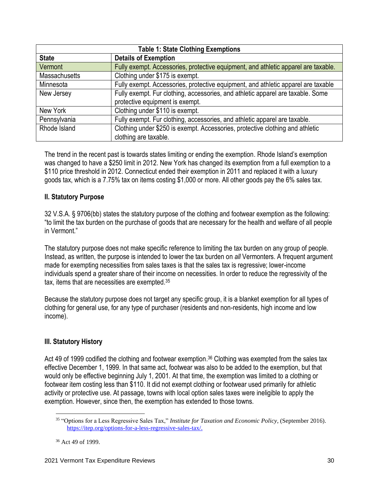| <b>Table 1: State Clothing Exemptions</b> |                                                                                    |  |  |  |
|-------------------------------------------|------------------------------------------------------------------------------------|--|--|--|
| <b>State</b>                              | <b>Details of Exemption</b>                                                        |  |  |  |
| Vermont                                   | Fully exempt. Accessories, protective equipment, and athletic apparel are taxable. |  |  |  |
| <b>Massachusetts</b>                      | Clothing under \$175 is exempt.                                                    |  |  |  |
| Minnesota                                 | Fully exempt. Accessories, protective equipment, and athletic apparel are taxable  |  |  |  |
| New Jersey                                | Fully exempt. Fur clothing, accessories, and athletic apparel are taxable. Some    |  |  |  |
|                                           | protective equipment is exempt.                                                    |  |  |  |
| New York                                  | Clothing under \$110 is exempt.                                                    |  |  |  |
| Pennsylvania                              | Fully exempt. Fur clothing, accessories, and athletic apparel are taxable.         |  |  |  |
| Rhode Island                              | Clothing under \$250 is exempt. Accessories, protective clothing and athletic      |  |  |  |
|                                           | clothing are taxable.                                                              |  |  |  |

The trend in the recent past is towards states limiting or ending the exemption. Rhode Island's exemption was changed to have a \$250 limit in 2012. New York has changed its exemption from a full exemption to a \$110 price threshold in 2012. Connecticut ended their exemption in 2011 and replaced it with a luxury goods tax, which is a 7.75% tax on items costing \$1,000 or more. All other goods pay the 6% sales tax.

## **II. Statutory Purpose**

32 V.S.A. § 9706(bb) states the statutory purpose of the clothing and footwear exemption as the following: "to limit the tax burden on the purchase of goods that are necessary for the health and welfare of all people in Vermont"

The statutory purpose does not make specific reference to limiting the tax burden on any group of people. Instead, as written, the purpose is intended to lower the tax burden on *all* Vermonters. A frequent argument made for exempting necessities from sales taxes is that the sales tax is regressive; lower-income individuals spend a greater share of their income on necessities. In order to reduce the regressivity of the tax, items that are necessities are exempted.<sup>35</sup>

Because the statutory purpose does not target any specific group, it is a blanket exemption for all types of clothing for general use, for any type of purchaser (residents and non-residents, high income and low income).

## **III. Statutory History**

Act 49 of 1999 codified the clothing and footwear exemption.<sup>36</sup> Clothing was exempted from the sales tax effective December 1, 1999. In that same act, footwear was also to be added to the exemption, but that would only be effective beginning July 1, 2001. At that time, the exemption was limited to a clothing or footwear item costing less than \$110. It did not exempt clothing or footwear used primarily for athletic activity or protective use. At passage, towns with local option sales taxes were ineligible to apply the exemption. However, since then, the exemption has extended to those towns.

<sup>35</sup> "Options for a Less Regressive Sales Tax," *Institute for Taxation and Economic Policy*, (September 2016). [https://itep.org/options-for-a-less-regressive-sales-tax/.](https://itep.org/options-for-a-less-regressive-sales-tax/)

<sup>36</sup> Act 49 of 1999.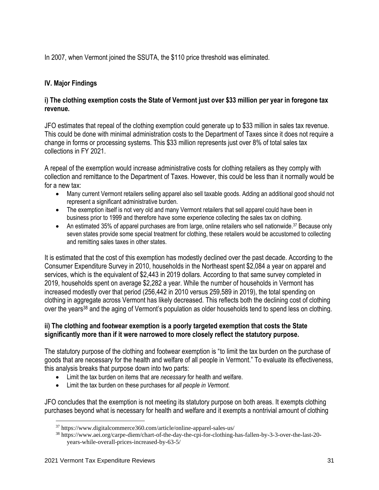In 2007, when Vermont joined the SSUTA, the \$110 price threshold was eliminated.

## **IV. Major Findings**

## **i) The clothing exemption costs the State of Vermont just over \$33 million per year in foregone tax revenue.**

JFO estimates that repeal of the clothing exemption could generate up to \$33 million in sales tax revenue. This could be done with minimal administration costs to the Department of Taxes since it does not require a change in forms or processing systems. This \$33 million represents just over 8% of total sales tax collections in FY 2021.

A repeal of the exemption would increase administrative costs for clothing retailers as they comply with collection and remittance to the Department of Taxes. However, this could be less than it normally would be for a new tax:

- Many current Vermont retailers selling apparel also sell taxable goods. Adding an additional good should not represent a significant administrative burden.
- The exemption itself is not very old and many Vermont retailers that sell apparel could have been in business prior to 1999 and therefore have some experience collecting the sales tax on clothing.
- An estimated 35% of apparel purchases are from large, online retailers who sell nationwide.<sup>37</sup> Because only seven states provide some special treatment for clothing, these retailers would be accustomed to collecting and remitting sales taxes in other states.

It is estimated that the cost of this exemption has modestly declined over the past decade. According to the Consumer Expenditure Survey in 2010, households in the Northeast spent \$2,084 a year on apparel and services, which is the equivalent of \$2,443 in 2019 dollars. According to that same survey completed in 2019, households spent on average \$2,282 a year. While the number of households in Vermont has increased modestly over that period (256,442 in 2010 versus 259,589 in 2019), the total spending on clothing in aggregate across Vermont has likely decreased. This reflects both the declining cost of clothing over the years<sup>38</sup> and the aging of Vermont's population as older households tend to spend less on clothing.

## **ii) The clothing and footwear exemption is a poorly targeted exemption that costs the State significantly more than if it were narrowed to more closely reflect the statutory purpose.**

The statutory purpose of the clothing and footwear exemption is "to limit the tax burden on the purchase of goods that are necessary for the health and welfare of all people in Vermont." To evaluate its effectiveness, this analysis breaks that purpose down into two parts:

- Limit the tax burden on items that are *necessary* for health and welfare.
- Limit the tax burden on these purchases for *all people in Vermont.*

JFO concludes that the exemption is not meeting its statutory purpose on both areas. It exempts clothing purchases beyond what is necessary for health and welfare and it exempts a nontrivial amount of clothing

<sup>37</sup> https://www.digitalcommerce360.com/article/online-apparel-sales-us/

<sup>38</sup> https://www.aei.org/carpe-diem/chart-of-the-day-the-cpi-for-clothing-has-fallen-by-3-3-over-the-last-20 years-while-overall-prices-increased-by-63-5/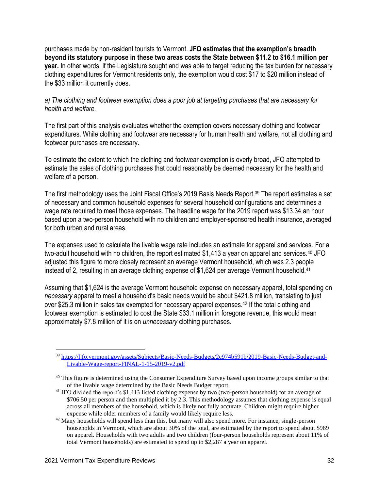purchases made by non-resident tourists to Vermont. **JFO estimates that the exemption's breadth beyond its statutory purpose in these two areas costs the State between \$11.2 to \$16.1 million per year.** In other words, if the Legislature sought and was able to target reducing the tax burden for necessary clothing expenditures for Vermont residents only, the exemption would cost \$17 to \$20 million instead of the \$33 million it currently does.

## *a) The clothing and footwear exemption does a poor job at targeting purchases that are necessary for health and welfare.*

The first part of this analysis evaluates whether the exemption covers necessary clothing and footwear expenditures. While clothing and footwear are necessary for human health and welfare, not all clothing and footwear purchases are necessary.

To estimate the extent to which the clothing and footwear exemption is overly broad, JFO attempted to estimate the sales of clothing purchases that could reasonably be deemed necessary for the health and welfare of a person.

The first methodology uses the Joint Fiscal Office's 2019 Basis Needs Report.<sup>39</sup> The report estimates a set of necessary and common household expenses for several household configurations and determines a wage rate required to meet those expenses. The headline wage for the 2019 report was \$13.34 an hour based upon a two-person household with no children and employer-sponsored health insurance, averaged for both urban and rural areas.

The expenses used to calculate the livable wage rate includes an estimate for apparel and services. For a two-adult household with no children, the report estimated \$1,413 a year on apparel and services.<sup>40</sup> JFO adjusted this figure to more closely represent an average Vermont household, which was 2.3 people instead of 2, resulting in an average clothing expense of \$1,624 per average Vermont household.<sup>41</sup>

Assuming that \$1,624 is the average Vermont household expense on necessary apparel, total spending on *necessary* apparel to meet a household's basic needs would be about \$421.8 million, translating to just over \$25.3 million in sales tax exempted for necessary apparel expenses.<sup>42</sup> If the total clothing and footwear exemption is estimated to cost the State \$33.1 million in foregone revenue, this would mean approximately \$7.8 million of it is on *unnecessary* clothing purchases.

<sup>&</sup>lt;sup>39</sup> [https://ljfo.vermont.gov/assets/Subjects/Basic-Needs-Budgets/2c974b591b/2019-Basic-Needs-Budget-and-](https://ljfo.vermont.gov/assets/Subjects/Basic-Needs-Budgets/2c974b591b/2019-Basic-Needs-Budget-and-Livable-Wage-report-FINAL-1-15-2019-v2.pdf)[Livable-Wage-report-FINAL-1-15-2019-v2.pdf](https://ljfo.vermont.gov/assets/Subjects/Basic-Needs-Budgets/2c974b591b/2019-Basic-Needs-Budget-and-Livable-Wage-report-FINAL-1-15-2019-v2.pdf)

<sup>&</sup>lt;sup>40</sup> This figure is determined using the Consumer Expenditure Survey based upon income groups similar to that of the livable wage determined by the Basic Needs Budget report.

<sup>&</sup>lt;sup>41</sup> JFO divided the report's \$1,413 listed clothing expense by two (two-person household) for an average of \$706.50 per person and then multiplied it by 2.3. This methodology assumes that clothing expense is equal across all members of the household, which is likely not fully accurate. Children might require higher expense while older members of a family would likely require less.

 $42$  Many households will spend less than this, but many will also spend more. For instance, single-person households in Vermont, which are about 30% of the total, are estimated by the report to spend about \$969 on apparel. Households with two adults and two children (four-person households represent about 11% of total Vermont households) are estimated to spend up to \$2,287 a year on apparel.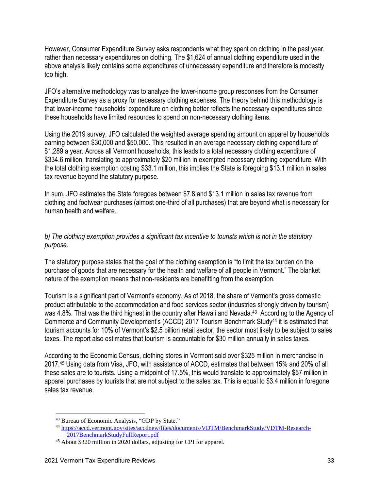However, Consumer Expenditure Survey asks respondents what they spent on clothing in the past year, rather than necessary expenditures on clothing. The \$1,624 of annual clothing expenditure used in the above analysis likely contains some expenditures of unnecessary expenditure and therefore is modestly too high.

JFO's alternative methodology was to analyze the lower-income group responses from the Consumer Expenditure Survey as a proxy for necessary clothing expenses. The theory behind this methodology is that lower-income households' expenditure on clothing better reflects the necessary expenditures since these households have limited resources to spend on non-necessary clothing items.

Using the 2019 survey, JFO calculated the weighted average spending amount on apparel by households earning between \$30,000 and \$50,000. This resulted in an average necessary clothing expenditure of \$1,289 a year. Across all Vermont households, this leads to a total necessary clothing expenditure of \$334.6 million, translating to approximately \$20 million in exempted necessary clothing expenditure. With the total clothing exemption costing \$33.1 million, this implies the State is foregoing \$13.1 million in sales tax revenue beyond the statutory purpose.

In sum, JFO estimates the State foregoes between \$7.8 and \$13.1 million in sales tax revenue from clothing and footwear purchases (almost one-third of all purchases) that are beyond what is necessary for human health and welfare.

## *b) The clothing exemption provides a significant tax incentive to tourists which is not in the statutory purpose.*

The statutory purpose states that the goal of the clothing exemption is "to limit the tax burden on the purchase of goods that are necessary for the health and welfare of all people in Vermont." The blanket nature of the exemption means that non-residents are benefitting from the exemption.

Tourism is a significant part of Vermont's economy. As of 2018, the share of Vermont's gross domestic product attributable to the accommodation and food services sector (industries strongly driven by tourism) was 4.8%. That was the third highest in the country after Hawaii and Nevada.<sup>43</sup> According to the Agency of Commerce and Community Development's (ACCD) 2017 Tourism Benchmark Study<sup>44</sup> it is estimated that tourism accounts for 10% of Vermont's \$2.5 billion retail sector, the sector most likely to be subject to sales taxes. The report also estimates that tourism is accountable for \$30 million annually in sales taxes.

According to the Economic Census, clothing stores in Vermont sold over \$325 million in merchandise in 2017.<sup>45</sup> Using data from Visa, JFO, with assistance of ACCD, estimates that between 15% and 20% of all these sales are to tourists. Using a midpoint of 17.5%, this would translate to approximately \$57 million in apparel purchases by tourists that are not subject to the sales tax. This is equal to \$3.4 million in foregone sales tax revenue.

<sup>43</sup> Bureau of Economic Analysis, "GDP by State."

<sup>44</sup> [https://accd.vermont.gov/sites/accdnew/files/documents/VDTM/BenchmarkStudy/VDTM-Research-](https://accd.vermont.gov/sites/accdnew/files/documents/VDTM/BenchmarkStudy/VDTM-Research-2017BenchmarkStudyFullReport.pdf)[2017BenchmarkStudyFullReport.pdf](https://accd.vermont.gov/sites/accdnew/files/documents/VDTM/BenchmarkStudy/VDTM-Research-2017BenchmarkStudyFullReport.pdf)

<sup>45</sup> About \$320 million in 2020 dollars, adjusting for CPI for apparel.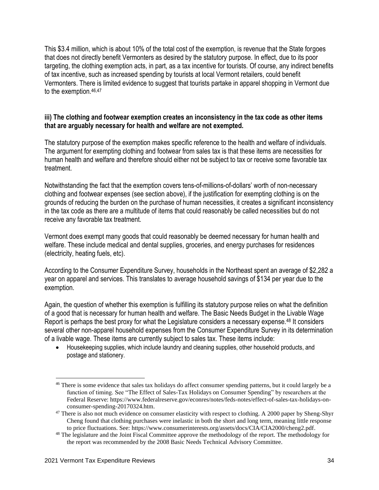This \$3.4 million, which is about 10% of the total cost of the exemption, is revenue that the State forgoes that does not directly benefit Vermonters as desired by the statutory purpose. In effect, due to its poor targeting, the clothing exemption acts, in part, as a tax incentive for tourists. Of course, any indirect benefits of tax incentive, such as increased spending by tourists at local Vermont retailers, could benefit Vermonters. There is limited evidence to suggest that tourists partake in apparel shopping in Vermont due to the exemption.46,47

## **iii) The clothing and footwear exemption creates an inconsistency in the tax code as other items that are arguably necessary for health and welfare are not exempted.**

The statutory purpose of the exemption makes specific reference to the health and welfare of individuals. The argument for exempting clothing and footwear from sales tax is that these items are necessities for human health and welfare and therefore should either not be subject to tax or receive some favorable tax treatment.

Notwithstanding the fact that the exemption covers tens-of-millions-of-dollars' worth of non-necessary clothing and footwear expenses (see section above), if the justification for exempting clothing is on the grounds of reducing the burden on the purchase of human necessities, it creates a significant inconsistency in the tax code as there are a multitude of items that could reasonably be called necessities but do not receive any favorable tax treatment.

Vermont does exempt many goods that could reasonably be deemed necessary for human health and welfare. These include medical and dental supplies, groceries, and energy purchases for residences (electricity, heating fuels, etc).

According to the Consumer Expenditure Survey, households in the Northeast spent an average of \$2,282 a year on apparel and services. This translates to average household savings of \$134 per year due to the exemption.

Again, the question of whether this exemption is fulfilling its statutory purpose relies on what the definition of a good that is necessary for human health and welfare. The Basic Needs Budget in the Livable Wage Report is perhaps the best proxy for what the Legislature considers a necessary expense.<sup>48</sup> It considers several other non-apparel household expenses from the Consumer Expenditure Survey in its determination of a livable wage. These items are currently subject to sales tax. These items include:

• Housekeeping supplies, which include laundry and cleaning supplies, other household products, and postage and stationery.

<sup>&</sup>lt;sup>46</sup> There is some evidence that sales tax holidays do affect consumer spending patterns, but it could largely be a function of timing. See "The Effect of Sales-Tax Holidays on Consumer Spending" by researchers at the Federal Reserve: https://www.federalreserve.gov/econres/notes/feds-notes/effect-of-sales-tax-holidays-onconsumer-spending-20170324.htm.

<sup>&</sup>lt;sup>47</sup> There is also not much evidence on consumer elasticity with respect to clothing. A 2000 paper by Sheng-Shyr Cheng found that clothing purchases were inelastic in both the short and long term, meaning little response to price fluctuations. See: https://www.consumerinterests.org/assets/docs/CIA/CIA2000/cheng2.pdf.

<sup>&</sup>lt;sup>48</sup> The legislature and the Joint Fiscal Committee approve the methodology of the report. The methodology for the report was recommended by the 2008 Basic Needs Technical Advisory Committee.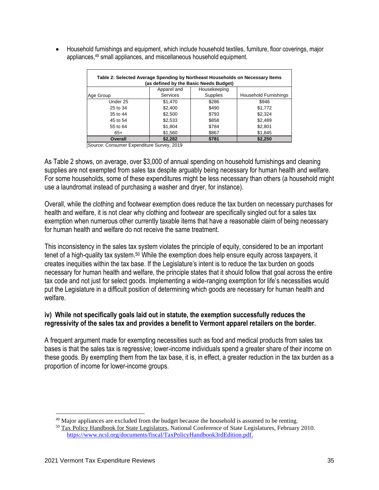• Household furnishings and equipment, which include household textiles, furniture, floor coverings, major appliances,<sup>49</sup> small appliances, and miscellaneous household equipment.

| Table 2: Selected Average Spending by Northeast Households on Necessary Items |                 |                 |                              |  |  |
|-------------------------------------------------------------------------------|-----------------|-----------------|------------------------------|--|--|
| (as defined by the Basic Needs Budget)                                        |                 |                 |                              |  |  |
|                                                                               | Apparel and     | Housekeeping    |                              |  |  |
| Age Group                                                                     | <b>Services</b> | <b>Supplies</b> | <b>Household Furnishings</b> |  |  |
| Under 25                                                                      | \$1,470         | \$286           | \$946                        |  |  |
| 25 to 34                                                                      | \$2,400         | \$490           | \$1,772                      |  |  |
| 35 to 44                                                                      | \$2,500         | \$793           | \$2,324                      |  |  |
| 45 to 54                                                                      | \$2,533         | \$858           | \$2,489                      |  |  |
| 55 to 64                                                                      | \$1,804         | \$784           | \$2,801                      |  |  |
| $65+$                                                                         | \$1,560         | \$867           | \$1,845                      |  |  |
| Overall                                                                       | \$2,282         | \$781           | \$2,250                      |  |  |

Source: Consumer Expenditure Survey, 2019

As Table 2 shows, on average, over \$3,000 of annual spending on household furnishings and cleaning supplies are not exempted from sales tax despite arguably being necessary for human health and welfare. For some households, some of these expenditures might be less necessary than others (a household might use a laundromat instead of purchasing a washer and dryer, for instance).

Overall, while the clothing and footwear exemption does reduce the tax burden on necessary purchases for health and welfare, it is not clear why clothing and footwear are specifically singled out for a sales tax exemption when numerous other currently taxable items that have a reasonable claim of being necessary for human health and welfare do not receive the same treatment.

This inconsistency in the sales tax system violates the principle of equity, considered to be an important tenet of a high-quality tax system.<sup>50</sup> While the exemption does help ensure equity across taxpayers, it creates inequities within the tax base. If the Legislature's intent is to reduce the tax burden on goods necessary for human health and welfare, the principle states that it should follow that goal across the entire tax code and not just for select goods. Implementing a wide-ranging exemption for life's necessities would put the Legislature in a difficult position of determining which goods are necessary for human health and welfare.

### **iv) While not specifically goals laid out in statute, the exemption successfully reduces the regressivity of the sales tax and provides a benefit to Vermont apparel retailers on the border.**

A frequent argument made for exempting necessities such as food and medical products from sales tax bases is that the sales tax is regressive; lower-income individuals spend a greater share of their income on these goods. By exempting them from the tax base, it is, in effect, a greater reduction in the tax burden as a proportion of income for lower-income groups.

<sup>&</sup>lt;sup>49</sup> Major appliances are excluded from the budget because the household is assumed to be renting.

<sup>&</sup>lt;sup>50</sup> Tax Policy Handbook for State Legislators, National Conference of State Legislatures, February 2010. [https://www.ncsl.org/documents/fiscal/TaxPolicyHandbook3rdEdition.pdf.](https://www.ncsl.org/documents/fiscal/TaxPolicyHandbook3rdEdition.pdf)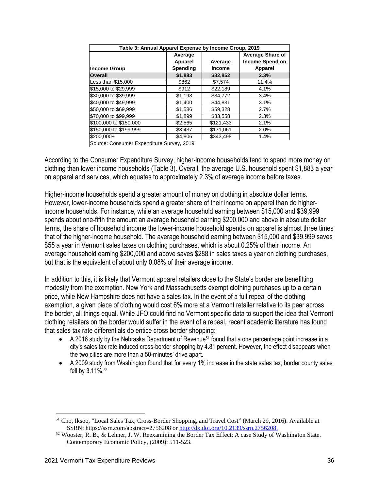| Table 3: Annual Apparel Expense by Income Group, 2019 |                 |               |                         |  |  |
|-------------------------------------------------------|-----------------|---------------|-------------------------|--|--|
|                                                       | Average         |               | <b>Average Share of</b> |  |  |
|                                                       | Apparel         | Average       | <b>Income Spend on</b>  |  |  |
| <b>Income Group</b>                                   | <b>Spending</b> | <b>Income</b> | <b>Apparel</b>          |  |  |
| <b>Overall</b>                                        | \$1,883         | \$82,852      | 2.3%                    |  |  |
| Less than \$15,000                                    | \$862           | \$7.574       | 11.4%                   |  |  |
| \$15,000 to \$29,999                                  | \$912           | \$22,189      | 4.1%                    |  |  |
| \$30,000 to \$39,999                                  | \$1,193         | \$34,772      | 3.4%                    |  |  |
| \$40,000 to \$49,999                                  | \$1,400         | \$44.831      | 3.1%                    |  |  |
| \$50,000 to \$69,999                                  | \$1,586         | \$59,328      | 2.7%                    |  |  |
| \$70,000 to \$99,999                                  | \$1,899         | \$83,558      | 2.3%                    |  |  |
| \$100,000 to \$150,000                                | \$2,565         | \$121,433     | 2.1%                    |  |  |
| \$150,000 to \$199,999                                | \$3,437         | \$171,061     | 2.0%                    |  |  |
| $$200.000+$                                           | \$4,806         | \$343.498     | 1.4%                    |  |  |

Source: Consumer Expenditure Survey, 2019

According to the Consumer Expenditure Survey, higher-income households tend to spend more money on clothing than lower income households (Table 3). Overall, the average U.S. household spent \$1,883 a year on apparel and services, which equates to approximately 2.3% of average income before taxes.

Higher-income households spend a greater amount of money on clothing in absolute dollar terms. However, lower-income households spend a greater share of their income on apparel than do higherincome households. For instance, while an average household earning between \$15,000 and \$39,999 spends about one-fifth the amount an average household earning \$200,000 and above in absolute dollar terms, the share of household income the lower-income household spends on apparel is almost three times that of the higher-income household. The average household earning between \$15,000 and \$39,999 saves \$55 a year in Vermont sales taxes on clothing purchases, which is about 0.25% of their income. An average household earning \$200,000 and above saves \$288 in sales taxes a year on clothing purchases, but that is the equivalent of about only 0.08% of their average income.

In addition to this, it is likely that Vermont apparel retailers close to the State's border are benefitting modestly from the exemption. New York and Massachusetts exempt clothing purchases up to a certain price, while New Hampshire does not have a sales tax. In the event of a full repeal of the clothing exemption, a given piece of clothing would cost 6% more at a Vermont retailer relative to its peer across the border, all things equal. While JFO could find no Vermont specific data to support the idea that Vermont clothing retailers on the border would suffer in the event of a repeal, recent academic literature has found that sales tax rate differentials do entice cross border shopping:

- A 2016 study by the Nebraska Department of Revenue<sup>51</sup> found that a one percentage point increase in a city's sales tax rate induced cross-border shopping by 4.81 percent. However, the effect disappears when the two cities are more than a 50-minutes' drive apart.
- A 2009 study from Washington found that for every 1% increase in the state sales tax, border county sales fell by 3.11%.<sup>52</sup>

<sup>51</sup> Cho, Iksoo, "Local Sales Tax, Cross-Border Shopping, and Travel Cost" (March 29, 2016). Available at SSRN: https://ssrn.com/abstract=2756208 or [http://dx.doi.org/10.2139/ssrn.2756208.](http://dx.doi.org/10.2139/ssrn.2756208)

 $52$  Wooster, R. B., & Lehner, J. W. Reexamining the Border Tax Effect: A case Study of Washington State. Contemporary Economic Policy, (2009): 511-523.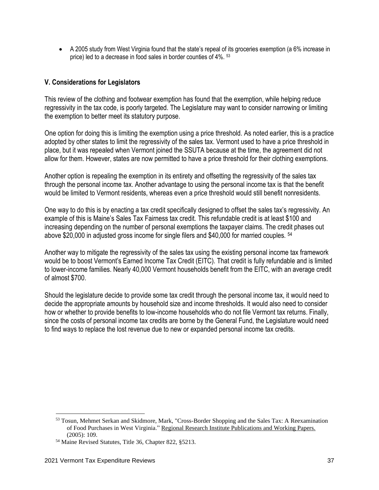• A 2005 study from West Virginia found that the state's repeal of its groceries exemption (a 6% increase in price) led to a decrease in food sales in border counties of 4%. <sup>53</sup>

## **V. Considerations for Legislators**

This review of the clothing and footwear exemption has found that the exemption, while helping reduce regressivity in the tax code, is poorly targeted. The Legislature may want to consider narrowing or limiting the exemption to better meet its statutory purpose.

One option for doing this is limiting the exemption using a price threshold. As noted earlier, this is a practice adopted by other states to limit the regressivity of the sales tax. Vermont used to have a price threshold in place, but it was repealed when Vermont joined the SSUTA because at the time, the agreement did not allow for them. However, states are now permitted to have a price threshold for their clothing exemptions.

Another option is repealing the exemption in its entirety and offsetting the regressivity of the sales tax through the personal income tax. Another advantage to using the personal income tax is that the benefit would be limited to Vermont residents, whereas even a price threshold would still benefit nonresidents.

One way to do this is by enacting a tax credit specifically designed to offset the sales tax's regressivity. An example of this is Maine's Sales Tax Fairness tax credit. This refundable credit is at least \$100 and increasing depending on the number of personal exemptions the taxpayer claims. The credit phases out above \$20,000 in adjusted gross income for single filers and \$40,000 for married couples. <sup>54</sup>

Another way to mitigate the regressivity of the sales tax using the existing personal income tax framework would be to boost Vermont's Earned Income Tax Credit (EITC). That credit is fully refundable and is limited to lower-income families. Nearly 40,000 Vermont households benefit from the EITC, with an average credit of almost \$700.

Should the legislature decide to provide some tax credit through the personal income tax, it would need to decide the appropriate amounts by household size and income thresholds. It would also need to consider how or whether to provide benefits to low-income households who do not file Vermont tax returns. Finally, since the costs of personal income tax credits are borne by the General Fund, the Legislature would need to find ways to replace the lost revenue due to new or expanded personal income tax credits.

<sup>53</sup> Tosun, Mehmet Serkan and Skidmore, Mark, "Cross-Border Shopping and the Sales Tax: A Reexamination of Food Purchases in West Virginia." Regional Research Institute Publications and Working Papers. (2005): 109.

<sup>54</sup> Maine Revised Statutes, Title 36, Chapter 822, §5213.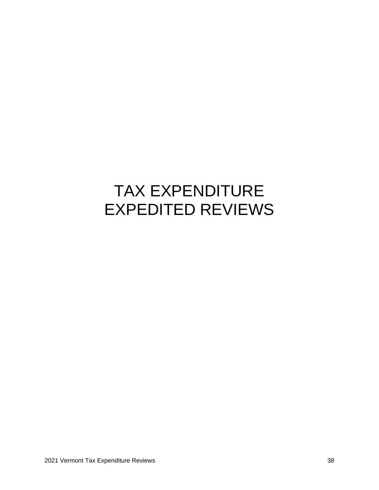## TAX EXPENDITURE EXPEDITED REVIEWS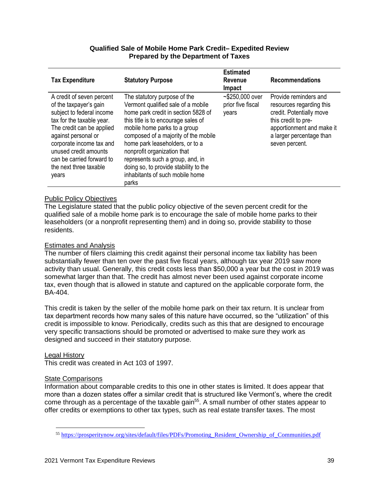#### **Qualified Sale of Mobile Home Park Credit– Expedited Review Prepared by the Department of Taxes**

| <b>Tax Expenditure</b>                                                                                                                                                                                                                                                                 | <b>Statutory Purpose</b>                                                                                                                                                                                                                                                                                                                                                                                            | <b>Estimated</b><br><b>Revenue</b><br>Impact   | <b>Recommendations</b>                                                                                                                                                          |
|----------------------------------------------------------------------------------------------------------------------------------------------------------------------------------------------------------------------------------------------------------------------------------------|---------------------------------------------------------------------------------------------------------------------------------------------------------------------------------------------------------------------------------------------------------------------------------------------------------------------------------------------------------------------------------------------------------------------|------------------------------------------------|---------------------------------------------------------------------------------------------------------------------------------------------------------------------------------|
| A credit of seven percent<br>of the taxpayer's gain<br>subject to federal income<br>tax for the taxable year.<br>The credit can be applied<br>against personal or<br>corporate income tax and<br>unused credit amounts<br>can be carried forward to<br>the next three taxable<br>years | The statutory purpose of the<br>Vermont qualified sale of a mobile<br>home park credit in section 5828 of<br>this title is to encourage sales of<br>mobile home parks to a group<br>composed of a majority of the mobile<br>home park leaseholders, or to a<br>nonprofit organization that<br>represents such a group, and, in<br>doing so, to provide stability to the<br>inhabitants of such mobile home<br>parks | $~5250,000$ over<br>prior five fiscal<br>years | Provide reminders and<br>resources regarding this<br>credit. Potentially move<br>this credit to pre-<br>apportionment and make it<br>a larger percentage than<br>seven percent. |

#### Public Policy Objectives

The Legislature stated that the public policy objective of the seven percent credit for the qualified sale of a mobile home park is to encourage the sale of mobile home parks to their leaseholders (or a nonprofit representing them) and in doing so, provide stability to those residents.

#### Estimates and Analysis

The number of filers claiming this credit against their personal income tax liability has been substantially fewer than ten over the past five fiscal years, although tax year 2019 saw more activity than usual. Generally, this credit costs less than \$50,000 a year but the cost in 2019 was somewhat larger than that. The credit has almost never been used against corporate income tax, even though that is allowed in statute and captured on the applicable corporate form, the BA-404.

This credit is taken by the seller of the mobile home park on their tax return. It is unclear from tax department records how many sales of this nature have occurred, so the "utilization" of this credit is impossible to know. Periodically, credits such as this that are designed to encourage very specific transactions should be promoted or advertised to make sure they work as designed and succeed in their statutory purpose.

#### Legal History

This credit was created in Act 103 of 1997.

#### State Comparisons

Information about comparable credits to this one in other states is limited. It does appear that more than a dozen states offer a similar credit that is structured like Vermont's, where the credit come through as a percentage of the taxable gain<sup>55</sup>. A small number of other states appear to offer credits or exemptions to other tax types, such as real estate transfer taxes. The most

<sup>55</sup> [https://prosperitynow.org/sites/default/files/PDFs/Promoting\\_Resident\\_Ownership\\_of\\_Communities.pdf](https://prosperitynow.org/sites/default/files/PDFs/Promoting_Resident_Ownership_of_Communities.pdf)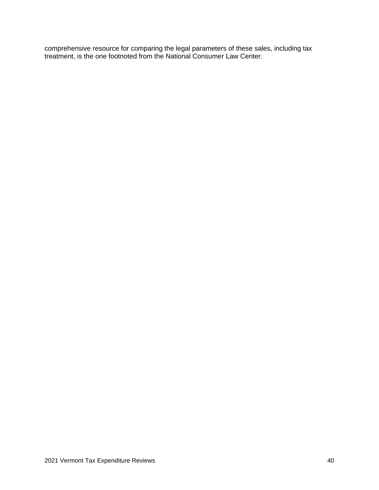comprehensive resource for comparing the legal parameters of these sales, including tax treatment, is the one footnoted from the National Consumer Law Center.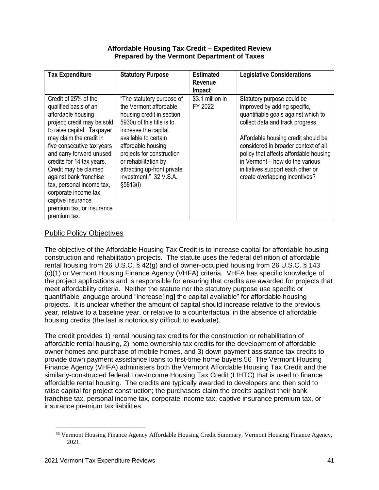#### **Affordable Housing Tax Credit – Expedited Review Prepared by the Vermont Department of Taxes**

| <b>Tax Expenditure</b>                                                                                                                                                                                                                                                                                                                                                                                                        | <b>Statutory Purpose</b>                                                                                                                                                                                                                                                                                       | <b>Estimated</b><br><b>Revenue</b><br>Impact | <b>Legislative Considerations</b>                                                                                                                                                                                                                                                                                                                                        |
|-------------------------------------------------------------------------------------------------------------------------------------------------------------------------------------------------------------------------------------------------------------------------------------------------------------------------------------------------------------------------------------------------------------------------------|----------------------------------------------------------------------------------------------------------------------------------------------------------------------------------------------------------------------------------------------------------------------------------------------------------------|----------------------------------------------|--------------------------------------------------------------------------------------------------------------------------------------------------------------------------------------------------------------------------------------------------------------------------------------------------------------------------------------------------------------------------|
| Credit of 25% of the<br>qualified basis of an<br>affordable housing<br>project; credit may be sold<br>to raise capital. Taxpayer<br>may claim the credit in<br>five consecutive tax years<br>and carry forward unused<br>credits for 14 tax years.<br>Credit may be claimed<br>against bank franchise<br>tax, personal income tax,<br>corporate income tax,<br>captive insurance<br>premium tax, or insurance<br>premium tax. | "The statutory purpose of<br>the Vermont affordable<br>housing credit in section<br>5930u of this title is to<br>increase the capital<br>available to certain<br>affordable housing<br>projects for construction<br>or rehabilitation by<br>attracting up-front private<br>investment." 32 V.S.A.<br>\$5813(i) | \$3.1 million in<br>FY 2022                  | Statutory purpose could be<br>improved by adding specific,<br>quantifiable goals against which to<br>collect data and track progress.<br>Affordable housing credit should be<br>considered in broader context of all<br>policy that affects affordable housing<br>in Vermont – how do the various<br>initiatives support each other or<br>create overlapping incentives? |

## Public Policy Objectives

The objective of the Affordable Housing Tax Credit is to increase capital for affordable housing construction and rehabilitation projects. The statute uses the federal definition of affordable rental housing from 26 U.S.C. § 42(g) and of owner-occupied housing from 26 U.S.C. § 143 (c)(1) or Vermont Housing Finance Agency (VHFA) criteria. VHFA has specific knowledge of the project applications and is responsible for ensuring that credits are awarded for projects that meet affordability criteria. Neither the statute nor the statutory purpose use specific or quantifiable language around "increase[ing] the capital available" for affordable housing projects. It is unclear whether the amount of capital should increase relative to the previous year, relative to a baseline year, or relative to a counterfactual in the absence of affordable housing credits (the last is notoriously difficult to evaluate).

The credit provides 1) rental housing tax credits for the construction or rehabilitation of affordable rental housing, 2) home ownership tax credits for the development of affordable owner homes and purchase of mobile homes, and 3) down payment assistance tax credits to provide down payment assistance loans to first-time home buyers.56 The Vermont Housing Finance Agency (VHFA) administers both the Vermont Affordable Housing Tax Credit and the similarly-constructed federal Low-Income Housing Tax Credit (LIHTC) that is used to finance affordable rental housing. The credits are typically awarded to developers and then sold to raise capital for project construction; the purchasers claim the credits against their bank franchise tax, personal income tax, corporate income tax, captive insurance premium tax, or insurance premium tax liabilities.

<sup>56</sup> Vermont Housing Finance Agency Affordable Housing Credit Summary, Vermont Housing Finance Agency, 2021.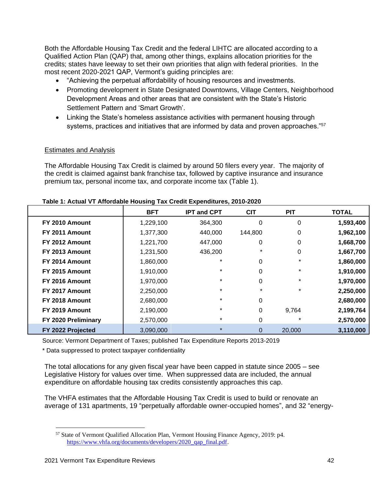Both the Affordable Housing Tax Credit and the federal LIHTC are allocated according to a Qualified Action Plan (QAP) that, among other things, explains allocation priorities for the credits; states have leeway to set their own priorities that align with federal priorities. In the most recent 2020-2021 QAP, Vermont's guiding principles are:

- "Achieving the perpetual affordability of housing resources and investments.
- Promoting development in State Designated Downtowns, Village Centers, Neighborhood Development Areas and other areas that are consistent with the State's Historic Settlement Pattern and 'Smart Growth'.
- Linking the State's homeless assistance activities with permanent housing through systems, practices and initiatives that are informed by data and proven approaches."<sup>57</sup>

### Estimates and Analysis

The Affordable Housing Tax Credit is claimed by around 50 filers every year. The majority of the credit is claimed against bank franchise tax, followed by captive insurance and insurance premium tax, personal income tax, and corporate income tax (Table 1).

|                     | <b>BFT</b> | <b>IPT and CPT</b> | <b>CIT</b> | <b>PIT</b> | <b>TOTAL</b> |
|---------------------|------------|--------------------|------------|------------|--------------|
| FY 2010 Amount      | 1,229,100  | 364,300            | 0          | 0          | 1,593,400    |
| FY 2011 Amount      | 1,377,300  | 440,000            | 144.800    | 0          | 1,962,100    |
| FY 2012 Amount      | 1,221,700  | 447,000            | 0          | 0          | 1,668,700    |
| FY 2013 Amount      | 1,231,500  | 436,200            | $\ast$     | 0          | 1,667,700    |
| FY 2014 Amount      | 1,860,000  | $\star$            | 0          | $\ast$     | 1,860,000    |
| FY 2015 Amount      | 1,910,000  | $\star$            | 0          | $\ast$     | 1,910,000    |
| FY 2016 Amount      | 1,970,000  | $\star$            | 0          | $\ast$     | 1,970,000    |
| FY 2017 Amount      | 2,250,000  | $\star$            | $\star$    | $\ast$     | 2,250,000    |
| FY 2018 Amount      | 2,680,000  | $\star$            | 0          |            | 2,680,000    |
| FY 2019 Amount      | 2,190,000  | $\star$            | 0          | 9,764      | 2,199,764    |
| FY 2020 Preliminary | 2,570,000  | $\star$            | 0          | $\ast$     | 2,570,000    |
| FY 2022 Projected   | 3,090,000  | $\star$            | 0          | 20,000     | 3,110,000    |

#### **Table 1: Actual VT Affordable Housing Tax Credit Expenditures, 2010-2020**

Source: Vermont Department of Taxes; published Tax Expenditure Reports 2013-2019

\* Data suppressed to protect taxpayer confidentiality

The total allocations for any given fiscal year have been capped in statute since 2005 – see Legislative History for values over time. When suppressed data are included, the annual expenditure on affordable housing tax credits consistently approaches this cap.

The VHFA estimates that the Affordable Housing Tax Credit is used to build or renovate an average of 131 apartments, 19 "perpetually affordable owner-occupied homes", and 32 "energy-

<sup>57</sup> State of Vermont Qualified Allocation Plan, Vermont Housing Finance Agency, 2019: p4. [https://www.vhfa.org/documents/developers/2020\\_qap\\_final.pdf.](https://www.vhfa.org/documents/developers/2020_qap_final.pdf)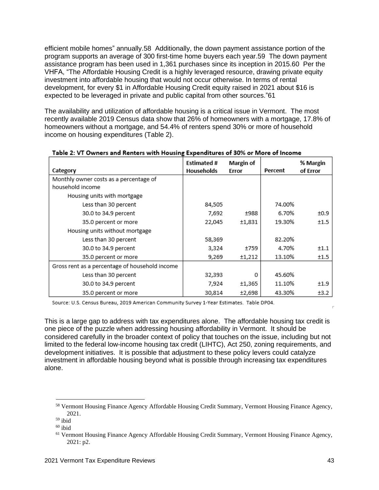efficient mobile homes" annually.58 Additionally, the down payment assistance portion of the program supports an average of 300 first-time home buyers each year.59 The down payment assistance program has been used in 1,361 purchases since its inception in 2015.60 Per the VHFA, "The Affordable Housing Credit is a highly leveraged resource, drawing private equity investment into affordable housing that would not occur otherwise. In terms of rental development, for every \$1 in Affordable Housing Credit equity raised in 2021 about \$16 is expected to be leveraged in private and public capital from other sources."61

The availability and utilization of affordable housing is a critical issue in Vermont. The most recently available 2019 Census data show that 26% of homeowners with a mortgage, 17.8% of homeowners without a mortgage, and 54.4% of renters spend 30% or more of household income on housing expenditures (Table 2).

| Category                                       | Estimated #<br>Households | <b>Margin of</b><br>Error | Percent | % Margin<br>of Error |
|------------------------------------------------|---------------------------|---------------------------|---------|----------------------|
| Monthly owner costs as a percentage of         |                           |                           |         |                      |
| household income                               |                           |                           |         |                      |
| Housing units with mortgage                    |                           |                           |         |                      |
| Less than 30 percent                           | 84,505                    |                           | 74.00%  |                      |
| 30.0 to 34.9 percent                           | 7,692                     | ±988                      | 6.70%   | ±0.9                 |
| 35.0 percent or more                           | 22,045                    | ±1,831                    | 19.30%  | ±1.5                 |
| Housing units without mortgage                 |                           |                           |         |                      |
| Less than 30 percent                           | 58,369                    |                           | 82.20%  |                      |
| 30.0 to 34.9 percent                           | 3,324                     | +759                      | 4.70%   | ±1.1                 |
| 35.0 percent or more                           | 9,269                     | ±1,212                    | 13.10%  | ±1.5                 |
| Gross rent as a percentage of household income |                           |                           |         |                      |
| Less than 30 percent                           | 32,393                    | Ω                         | 45.60%  |                      |
| 30.0 to 34.9 percent                           | 7,924                     | ±1,365                    | 11.10%  | ±1.9                 |
| 35.0 percent or more                           | 30,814                    | ±2,698                    | 43.30%  | ±3.2                 |

#### Table 2: VT Owners and Renters with Housing Expenditures of 30% or More of Income

Source: U.S. Census Bureau, 2019 American Community Survey 1-Year Estimates. Table DP04.

This is a large gap to address with tax expenditures alone. The affordable housing tax credit is one piece of the puzzle when addressing housing affordability in Vermont. It should be considered carefully in the broader context of policy that touches on the issue, including but not limited to the federal low-income housing tax credit (LIHTC), Act 250, zoning requirements, and development initiatives. It is possible that adjustment to these policy levers could catalyze investment in affordable housing beyond what is possible through increasing tax expenditures alone.

<sup>58</sup> Vermont Housing Finance Agency Affordable Housing Credit Summary, Vermont Housing Finance Agency, 2021.

 $59$  ibid

 $60$  ibid

<sup>&</sup>lt;sup>61</sup> Vermont Housing Finance Agency Affordable Housing Credit Summary, Vermont Housing Finance Agency, 2021: p2.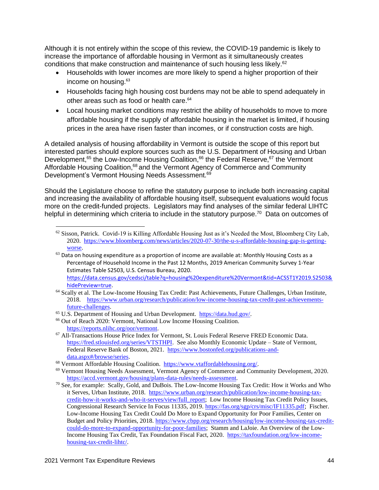Although it is not entirely within the scope of this review, the COVID-19 pandemic is likely to increase the importance of affordable housing in Vermont as it simultaneously creates conditions that make construction and maintenance of such housing less likely.<sup>62</sup>

- Households with lower incomes are more likely to spend a higher proportion of their income on housing. 63
- Households facing high housing cost burdens may not be able to spend adequately in other areas such as food or health care. 64
- Local housing market conditions may restrict the ability of households to move to more affordable housing if the supply of affordable housing in the market is limited, if housing prices in the area have risen faster than incomes, or if construction costs are high.

A detailed analysis of housing affordability in Vermont is outside the scope of this report but interested parties should explore sources such as the U.S. Department of Housing and Urban Development,<sup>65</sup> the Low-Income Housing Coalition,<sup>66</sup> the Federal Reserve,<sup>67</sup> the Vermont Affordable Housing Coalition,<sup>68</sup> and the Vermont Agency of Commerce and Community Development's Vermont Housing Needs Assessment.<sup>69</sup>

Should the Legislature choose to refine the statutory purpose to include both increasing capital and increasing the availability of affordable housing itself, subsequent evaluations would focus more on the credit-funded projects. Legislators may find analyses of the similar federal LIHTC helpful in determining which criteria to include in the statutory purpose.<sup>70</sup> Data on outcomes of

- <sup>64</sup> Scally et al. The Low-Income Housing Tax Credit: Past Achievements, Future Challenges, Urban Institute, 2018. [https://www.urban.org/research/publication/low-income-housing-tax-credit-past-achievements](https://www.urban.org/research/publication/low-income-housing-tax-credit-past-achievements-future-challenges)[future-challenges.](https://www.urban.org/research/publication/low-income-housing-tax-credit-past-achievements-future-challenges)
- <sup>65</sup> U.S. Department of Housing and Urban Development. [https://data.hud.gov/.](https://data.hud.gov/)
- <sup>66</sup> Out of Reach 2020: Vermont, National Low Income Housing Coalition. [https://reports.nlihc.org/oor/vermont.](https://reports.nlihc.org/oor/vermont)
- <sup>67</sup> All-Transactions House Price Index for Vermont, St. Louis Federal Reserve FRED Economic Data. [https://fred.stlouisfed.org/series/VTSTHPI.](https://fred.stlouisfed.org/series/VTSTHPI) See also Monthly Economic Update – State of Vermont, Federal Reserve Bank of Boston, 2021. [https://www.bostonfed.org/publications-and](https://www.bostonfed.org/publications-and-data.aspx#/browse/series)[data.aspx#/browse/series.](https://www.bostonfed.org/publications-and-data.aspx#/browse/series)
- <sup>68</sup> Vermont Affordable Housing Coalition. [https://www.vtaffordablehousing.org/.](https://www.vtaffordablehousing.org/)
- <sup>69</sup> Vermont Housing Needs Assessment, Vermont Agency of Commerce and Community Development, 2020. [https://accd.vermont.gov/housing/plans-data-rules/needs-assessment.](https://accd.vermont.gov/housing/plans-data-rules/needs-assessment)
- <sup>70</sup> See, for example: Scally, Gold, and DuBois. The Low-Income Housing Tax Credit: How it Works and Who it Serves, Urban Institute, 2018. [https://www.urban.org/research/publication/low-income-housing-tax](https://www.urban.org/research/publication/low-income-housing-tax-credit-how-it-works-and-who-it-serves/view/full_report)[credit-how-it-works-and-who-it-serves/view/full\\_report;](https://www.urban.org/research/publication/low-income-housing-tax-credit-how-it-works-and-who-it-serves/view/full_report) Low Income Housing Tax Credit Policy Issues, Congressional Research Service In Focus 11335, 2019[. https://fas.org/sgp/crs/misc/IF11335.pdf;](https://fas.org/sgp/crs/misc/IF11335.pdf) Fischer. Low-Income Housing Tax Credit Could Do More to Expand Opportunity for Poor Families, Center on Budget and Policy Priorities, 2018. [https://www.cbpp.org/research/housing/low-income-housing-tax-credit](https://www.cbpp.org/research/housing/low-income-housing-tax-credit-could-do-more-to-expand-opportunity-for-poor-families)[could-do-more-to-expand-opportunity-for-poor-families;](https://www.cbpp.org/research/housing/low-income-housing-tax-credit-could-do-more-to-expand-opportunity-for-poor-families) Stamm and LaJoie. An Overview of the Low-Income Housing Tax Credit, Tax Foundation Fiscal Fact, 2020. [https://taxfoundation.org/low-income](https://taxfoundation.org/low-income-housing-tax-credit-lihtc/)[housing-tax-credit-lihtc/.](https://taxfoundation.org/low-income-housing-tax-credit-lihtc/)

<sup>62</sup> Sisson, Patrick. Covid-19 is Killing Affordable Housing Just as it's Needed the Most, Bloomberg City Lab, 2020. [https://www.bloomberg.com/news/articles/2020-07-30/the-u-s-affordable-housing-gap-is-getting](https://www.bloomberg.com/news/articles/2020-07-30/the-u-s-affordable-housing-gap-is-getting-worse)[worse.](https://www.bloomberg.com/news/articles/2020-07-30/the-u-s-affordable-housing-gap-is-getting-worse)

 $63$  Data on housing expenditure as a proportion of income are available at: Monthly Housing Costs as a Percentage of Household Income in the Past 12 Months, 2019 American Community Survey 1-Year Estimates Table S2503, U.S. Census Bureau, 2020. [https://data.census.gov/cedsci/table?q=housing%20expenditure%20Vermont&tid=ACSST1Y2019.S2503&](https://data.census.gov/cedsci/table?q=housing%20expenditure%20Vermont&tid=ACSST1Y2019.S2503&hidePreview=true) [hidePreview=true.](https://data.census.gov/cedsci/table?q=housing%20expenditure%20Vermont&tid=ACSST1Y2019.S2503&hidePreview=true)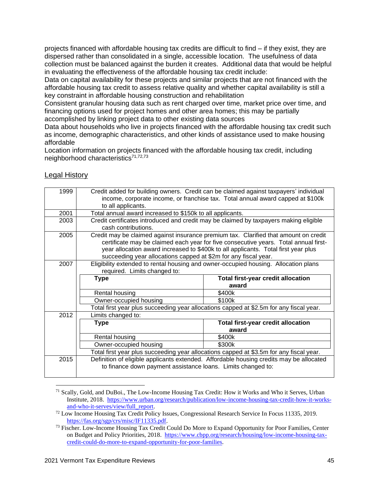projects financed with affordable housing tax credits are difficult to find – if they exist, they are dispersed rather than consolidated in a single, accessible location. The usefulness of data collection must be balanced against the burden it creates. Additional data that would be helpful in evaluating the effectiveness of the affordable housing tax credit include:

Data on capital availability for these projects and similar projects that are not financed with the affordable housing tax credit to assess relative quality and whether capital availability is still a key constraint in affordable housing construction and rehabilitation

Consistent granular housing data such as rent charged over time, market price over time, and financing options used for project homes and other area homes; this may be partially accomplished by linking project data to other existing data sources

Data about households who live in projects financed with the affordable housing tax credit such as income, demographic characteristics, and other kinds of assistance used to make housing affordable

Location information on projects financed with the affordable housing tax credit, including neighborhood characteristics<sup>71,72,73</sup>

| 1999 |                                                                 | Credit added for building owners. Credit can be claimed against taxpayers' individual   |
|------|-----------------------------------------------------------------|-----------------------------------------------------------------------------------------|
|      | to all applicants.                                              | income, corporate income, or franchise tax. Total annual award capped at \$100k         |
| 2001 | Total annual award increased to \$150k to all applicants.       |                                                                                         |
| 2003 |                                                                 | Credit certificates introduced and credit may be claimed by taxpayers making eligible   |
|      | cash contributions.                                             |                                                                                         |
| 2005 |                                                                 | Credit may be claimed against insurance premium tax. Clarified that amount on credit    |
|      |                                                                 | certificate may be claimed each year for five consecutive years. Total annual first-    |
|      |                                                                 | year allocation award increased to \$400k to all applicants. Total first year plus      |
|      | succeeding year allocations capped at \$2m for any fiscal year. |                                                                                         |
| 2007 |                                                                 | Eligibility extended to rental housing and owner-occupied housing. Allocation plans     |
|      | required. Limits changed to:                                    |                                                                                         |
|      | <b>Type</b>                                                     | <b>Total first-year credit allocation</b>                                               |
|      |                                                                 |                                                                                         |
|      |                                                                 | award                                                                                   |
|      | Rental housing                                                  | \$400k                                                                                  |
|      | Owner-occupied housing                                          | \$100k                                                                                  |
|      |                                                                 | Total first year plus succeeding year allocations capped at \$2.5m for any fiscal year. |
| 2012 | Limits changed to:                                              |                                                                                         |
|      | <b>Type</b>                                                     | <b>Total first-year credit allocation</b>                                               |
|      |                                                                 | award                                                                                   |
|      | Rental housing                                                  | \$400k                                                                                  |
|      | Owner-occupied housing                                          | \$300k                                                                                  |
|      |                                                                 | Total first year plus succeeding year allocations capped at \$3.5m for any fiscal year. |
| 2015 |                                                                 | Definition of eligible applicants extended. Affordable housing credits may be allocated |
|      | to finance down payment assistance loans. Limits changed to:    |                                                                                         |

## Legal History

<sup>71</sup> Scally, Gold, and DuBoi., The Low-Income Housing Tax Credit: How it Works and Who it Serves, Urban Institute, 2018. [https://www.urban.org/research/publication/low-income-housing-tax-credit-how-it-works](https://www.urban.org/research/publication/low-income-housing-tax-credit-how-it-works-and-who-it-serves/view/full_report)[and-who-it-serves/view/full\\_report.](https://www.urban.org/research/publication/low-income-housing-tax-credit-how-it-works-and-who-it-serves/view/full_report)

<sup>72</sup> Low Income Housing Tax Credit Policy Issues, Congressional Research Service In Focus 11335, 2019. [https://fas.org/sgp/crs/misc/IF11335.pdf.](https://fas.org/sgp/crs/misc/IF11335.pdf)

<sup>&</sup>lt;sup>73</sup> Fischer. Low-Income Housing Tax Credit Could Do More to Expand Opportunity for Poor Families, Center on Budget and Policy Priorities, 2018. [https://www.cbpp.org/research/housing/low-income-housing-tax](https://www.cbpp.org/research/housing/low-income-housing-tax-credit-could-do-more-to-expand-opportunity-for-poor-families)[credit-could-do-more-to-expand-opportunity-for-poor-families.](https://www.cbpp.org/research/housing/low-income-housing-tax-credit-could-do-more-to-expand-opportunity-for-poor-families)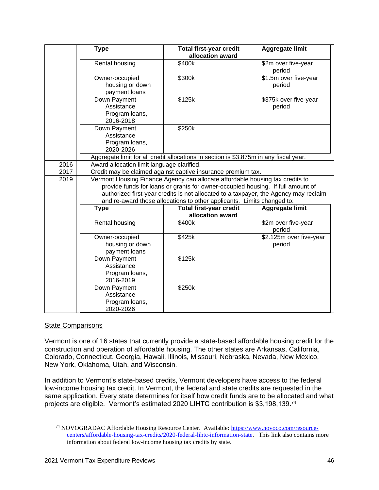|      | <b>Type</b>                                               | <b>Total first-year credit</b><br>allocation award                                                                                                                                                                                                                                                                                 | <b>Aggregate limit</b>            |
|------|-----------------------------------------------------------|------------------------------------------------------------------------------------------------------------------------------------------------------------------------------------------------------------------------------------------------------------------------------------------------------------------------------------|-----------------------------------|
|      | Rental housing                                            | \$400k                                                                                                                                                                                                                                                                                                                             | \$2m over five-year<br>period     |
|      | Owner-occupied<br>housing or down<br>payment loans        | \$300k                                                                                                                                                                                                                                                                                                                             | \$1.5m over five-year<br>period   |
|      | Down Payment<br>Assistance<br>Program loans,<br>2016-2018 | \$125k                                                                                                                                                                                                                                                                                                                             | \$375k over five-year<br>period   |
|      | Down Payment<br>Assistance<br>Program loans,<br>2020-2026 | \$250k                                                                                                                                                                                                                                                                                                                             |                                   |
|      |                                                           | Aggregate limit for all credit allocations in section is \$3.875m in any fiscal year.                                                                                                                                                                                                                                              |                                   |
| 2016 | Award allocation limit language clarified.                |                                                                                                                                                                                                                                                                                                                                    |                                   |
| 2017 |                                                           | Credit may be claimed against captive insurance premium tax.                                                                                                                                                                                                                                                                       |                                   |
| 2019 |                                                           | Vermont Housing Finance Agency can allocate affordable housing tax credits to<br>provide funds for loans or grants for owner-occupied housing. If full amount of<br>authorized first-year credits is not allocated to a taxpayer, the Agency may reclaim<br>and re-award those allocations to other applicants. Limits changed to: |                                   |
|      | <b>Type</b>                                               | <b>Total first-year credit</b>                                                                                                                                                                                                                                                                                                     | Aggregate limit                   |
|      | Rental housing                                            | allocation award<br>\$400k                                                                                                                                                                                                                                                                                                         | \$2m over five-year<br>period     |
|      | Owner-occupied<br>housing or down<br>payment loans        | \$425k                                                                                                                                                                                                                                                                                                                             | \$2.125m over five-year<br>period |
|      | Down Payment<br>Assistance<br>Program loans,<br>2016-2019 | \$125k                                                                                                                                                                                                                                                                                                                             |                                   |
|      | Down Payment<br>Assistance<br>Program loans,<br>2020-2026 | \$250k                                                                                                                                                                                                                                                                                                                             |                                   |

#### State Comparisons

Vermont is one of 16 states that currently provide a state-based affordable housing credit for the construction and operation of affordable housing. The other states are Arkansas, California, Colorado, Connecticut, Georgia, Hawaii, Illinois, Missouri, Nebraska, Nevada, New Mexico, New York, Oklahoma, Utah, and Wisconsin.

In addition to Vermont's state-based credits, Vermont developers have access to the federal low-income housing tax credit. In Vermont, the federal and state credits are requested in the same application. Every state determines for itself how credit funds are to be allocated and what projects are eligible. Vermont's estimated 2020 LIHTC contribution is \$3,198,139.<sup>74</sup>

<sup>&</sup>lt;sup>74</sup> NOVOGRADAC Affordable Housing Resource Center. Available: [https://www.novoco.com/resource](https://www.novoco.com/resource-centers/affordable-housing-tax-credits/2020-federal-lihtc-information-state)[centers/affordable-housing-tax-credits/2020-federal-lihtc-information-state.](https://www.novoco.com/resource-centers/affordable-housing-tax-credits/2020-federal-lihtc-information-state) This link also contains more information about federal low-income housing tax credits by state.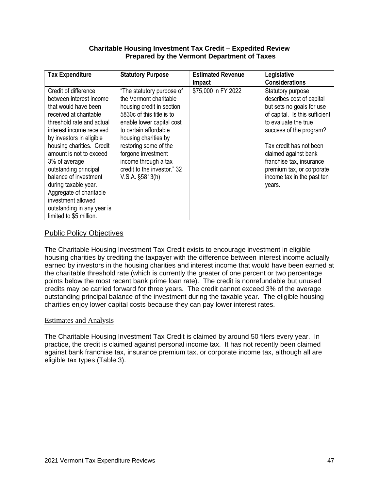#### **Charitable Housing Investment Tax Credit – Expedited Review Prepared by the Vermont Department of Taxes**

| <b>Tax Expenditure</b>                                                           | <b>Statutory Purpose</b>                                            | <b>Estimated Revenue</b><br><b>Impact</b> | Legislative<br><b>Considerations</b>                        |
|----------------------------------------------------------------------------------|---------------------------------------------------------------------|-------------------------------------------|-------------------------------------------------------------|
| Credit of difference<br>between interest income                                  | "The statutory purpose of<br>the Vermont charitable                 | \$75,000 in FY 2022                       | Statutory purpose<br>describes cost of capital              |
| that would have been<br>received at charitable                                   | housing credit in section<br>5830c of this title is to              |                                           | but sets no goals for use<br>of capital. Is this sufficient |
| threshold rate and actual<br>interest income received                            | enable lower capital cost<br>to certain affordable                  |                                           | to evaluate the true<br>success of the program?             |
| by investors in eligible<br>housing charities. Credit<br>amount is not to exceed | housing charities by<br>restoring some of the<br>forgone investment |                                           | Tax credit has not been<br>claimed against bank             |
| 3% of average<br>outstanding principal<br>balance of investment                  | income through a tax<br>credit to the investor." 32                 |                                           | franchise tax, insurance<br>premium tax, or corporate       |
| during taxable year.<br>Aggregate of charitable                                  | $V.S.A.$ §5813(h)                                                   |                                           | income tax in the past ten<br>years.                        |
| investment allowed<br>outstanding in any year is                                 |                                                                     |                                           |                                                             |
| limited to \$5 million.                                                          |                                                                     |                                           |                                                             |

## Public Policy Objectives

The Charitable Housing Investment Tax Credit exists to encourage investment in eligible housing charities by crediting the taxpayer with the difference between interest income actually earned by investors in the housing charities and interest income that would have been earned at the charitable threshold rate (which is currently the greater of one percent or two percentage points below the most recent bank prime loan rate). The credit is nonrefundable but unused credits may be carried forward for three years. The credit cannot exceed 3% of the average outstanding principal balance of the investment during the taxable year. The eligible housing charities enjoy lower capital costs because they can pay lower interest rates.

#### Estimates and Analysis

The Charitable Housing Investment Tax Credit is claimed by around 50 filers every year. In practice, the credit is claimed against personal income tax. It has not recently been claimed against bank franchise tax, insurance premium tax, or corporate income tax, although all are eligible tax types (Table 3).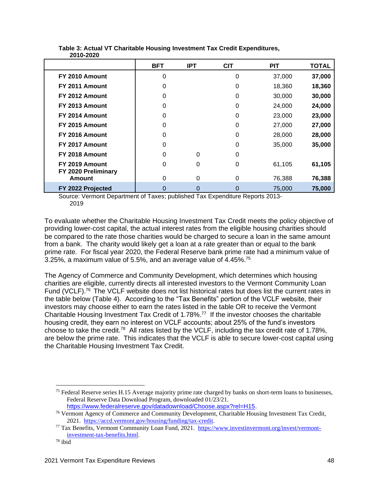|                                       | <b>BFT</b> | <b>IPT</b> | <b>CIT</b> | <b>PIT</b> | <b>TOTAL</b> |
|---------------------------------------|------------|------------|------------|------------|--------------|
| FY 2010 Amount                        | 0          |            | $\Omega$   | 37,000     | 37,000       |
| FY 2011 Amount                        | 0          |            | 0          | 18,360     | 18,360       |
| FY 2012 Amount                        | 0          |            | 0          | 30,000     | 30,000       |
| FY 2013 Amount                        | 0          |            | 0          | 24,000     | 24,000       |
| FY 2014 Amount                        | 0          |            | $\Omega$   | 23,000     | 23,000       |
| FY 2015 Amount                        | 0          |            | 0          | 27,000     | 27,000       |
| FY 2016 Amount                        | 0          |            | 0          | 28,000     | 28,000       |
| FY 2017 Amount                        | 0          |            | 0          | 35,000     | 35,000       |
| FY 2018 Amount                        | 0          | 0          | 0          |            |              |
| FY 2019 Amount<br>FY 2020 Preliminary | 0          | 0          | 0          | 61,105     | 61,105       |
| Amount                                | 0          | 0          | 0          | 76,388     | 76,388       |
| FY 2022 Projected                     | 0          | 0          | 0          | 75,000     | 75,000       |

#### **Table 3: Actual VT Charitable Housing Investment Tax Credit Expenditures, 2010-2020**

Source: Vermont Department of Taxes; published Tax Expenditure Reports 2013- 2019

To evaluate whether the Charitable Housing Investment Tax Credit meets the policy objective of providing lower-cost capital, the actual interest rates from the eligible housing charities should be compared to the rate those charities would be charged to secure a loan in the same amount from a bank. The charity would likely get a loan at a rate greater than or equal to the bank prime rate. For fiscal year 2020, the Federal Reserve bank prime rate had a minimum value of 3.25%, a maximum value of 5.5%, and an average value of 4.45%.<sup>75</sup>

The Agency of Commerce and Community Development, which determines which housing charities are eligible, currently directs all interested investors to the Vermont Community Loan Fund (VCLF).<sup>76</sup> The VCLF website does not list historical rates but does list the current rates in the table below (Table 4). According to the "Tax Benefits" portion of the VCLF website, their investors may choose either to earn the rates listed in the table OR to receive the Vermont Charitable Housing Investment Tax Credit of 1.78%.<sup>77</sup> If the investor chooses the charitable housing credit, they earn no interest on VCLF accounts; about 25% of the fund's investors choose to take the credit.<sup>78</sup> All rates listed by the VCLF, including the tax credit rate of 1.78%, are below the prime rate. This indicates that the VCLF is able to secure lower-cost capital using the Charitable Housing Investment Tax Credit.

<sup>&</sup>lt;sup>75</sup> Federal Reserve series H.15 Average majority prime rate charged by banks on short-term loans to businesses, Federal Reserve Data Download Program, downloaded 01/23/21.

[https://www.federalreserve.gov/datadownload/Choose.aspx?rel=H15.](https://www.federalreserve.gov/datadownload/Choose.aspx?rel=H15)

<sup>&</sup>lt;sup>76</sup> Vermont Agency of Commerce and Community Development, Charitable Housing Investment Tax Credit, 2021. [https://accd.vermont.gov/housing/funding/tax-credit.](https://accd.vermont.gov/housing/funding/tax-credit) 

<sup>77</sup> Tax Benefits, Vermont Community Loan Fund, 2021. [https://www.investinvermont.org/invest/vermont](https://www.investinvermont.org/invest/vermont-investment-tax-benefits.html)[investment-tax-benefits.html.](https://www.investinvermont.org/invest/vermont-investment-tax-benefits.html) 

<sup>78</sup> ibid